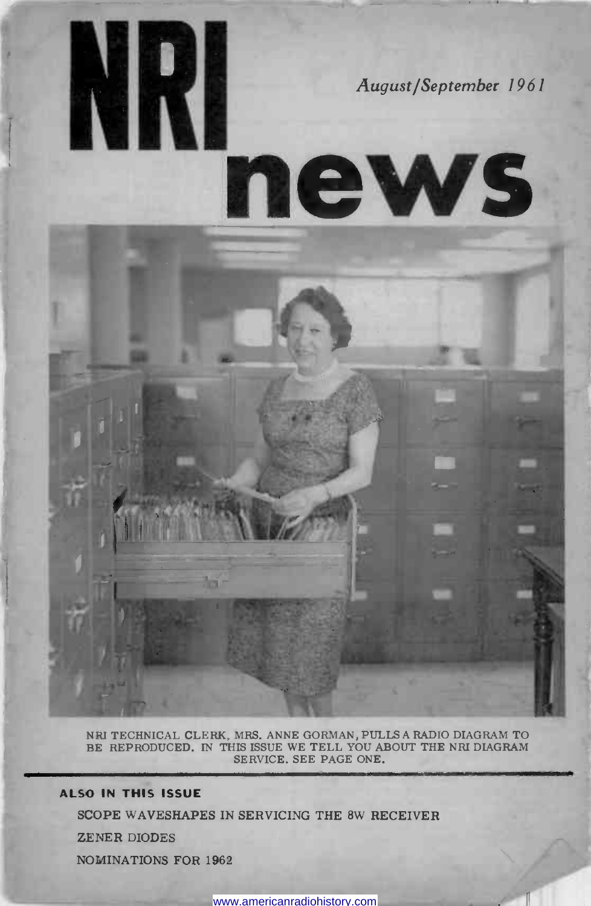

news

NRI TECHNICAL CLERK, MRS. ANNE GORMAN, PULLS A RADIO DIAGRAM TO BE REPRODUCED. IN THIS ISSUE WE TELL YOU ABOUT THE NRI DIAGRAM SERVICE. SEE PAGE ONE.

## ALSO IN THIS ISSUE

NKI

SCOPE WAVESHAPES IN SERVICING THE 8W RECEIVER

ZENER DIODES

NOMINATIONS FOR 1962

www.americanradiohistory.com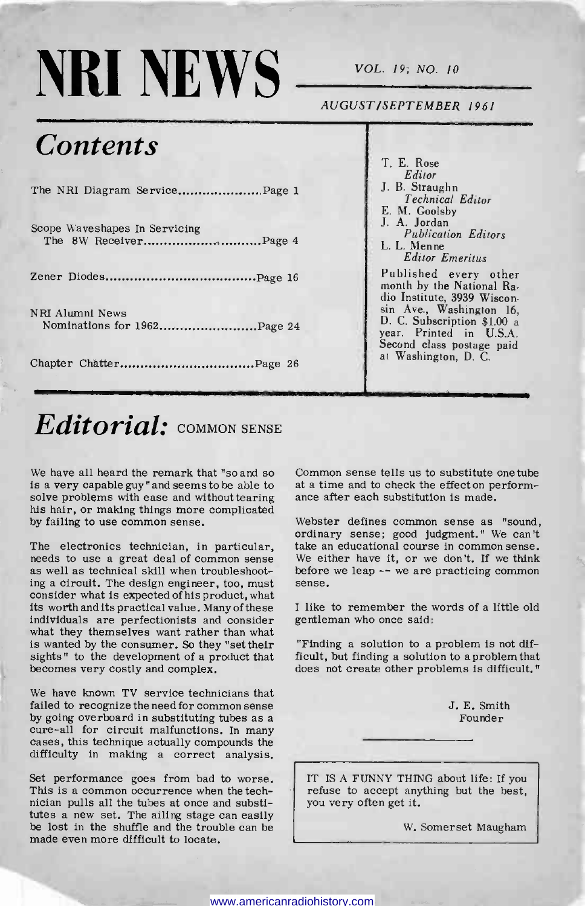# $NRI NEWS$   $\longrightarrow$   $VOL. 19; NO. 10$

AUGUST/SEPTEMBER 1961

## **Contents**

| The NRI Diagram ServicePage 1                  |
|------------------------------------------------|
| Scope Waveshapes In Servicing                  |
|                                                |
| NRI Alumni News<br>Nominations for 1962Page 24 |
|                                                |

## T. E. Rose Editor J. B. Straughn Technical Editor E. M. Goolsby J. A. Jordan Publication Editors L. L. Menne Editor Emeritus Published every other

month by the National Radio Institute, 3939 Wiscon-sin Ave., Washington 16, D. C. Subscription \$1.00 a year. Printed in U.S.A. Second class postage paid at Washington, D. C.

## $Editorial:$  COMMON SENSE

We have all heard the remark that "so and so Common sense tells us to substitute is a very capable guy" and seems to be able to at a time and to check the effect on p solve problems with ease and without tearing ance afte his hair, or making things more complicated by failing to use common sense.

The electronics technician, in particular, needs to use a great deal of common sense as well as technical skill when troubleshooting a circuit. The design engineer, too, must consider what is expected of his product, what its worth and its practical value. Many of these individuals are perfectionists and consider what they themselves want rather than what is wanted by the consumer. So they "set their sights" to the development of a product that becomes very costly and complex.

We have known TV service technicians that<br>failed to recognize the need for common sense by going overboard in substituting tubes as a cure-all for circuit malfunctions. In many cases, this technique actually compounds the difficulty in making a correct analysis.

Set performance goes from bad to worse. This is a common occurrence when the technician pulls all the tubes at once and substitutes a new set. The ailing stage can easily be lost in the shuffle and the trouble can be made even more difficult to locate.

Common sense tells us to substitute one tube at a time and to check the effect on perform-

Webster defines common sense as "sound, ordinary sense; good judgment." We can't take an educational course in common sense. We either have it, or we don't. If we think before we leap  $-$  we are practicing common

<sup>I</sup>like to remember the words of a little old gentleman who once said:

"Finding a solution to a problem is not difficult, but finding a solution to a problem that does not create other problems is difficult."

> J. E. Smith Founder

IT IS A FUNNY THING about life: If you refuse to accept anything but the best, you very often get it.

W. Somerset Maugham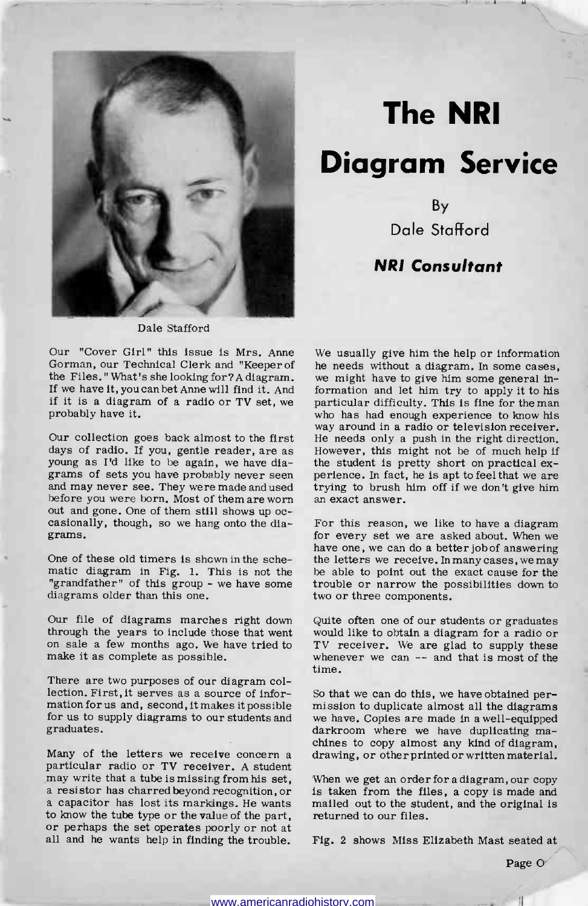

## The NRI Diagram Service

By Dale Stafford

## NRI Consultant

Dale Stafford

Our "Cover Girl" this issue is Mrs. Anne Gorman, our Technical Clerk and "Keeper of the Files." What's she looking for ? A diagram. we might have to give him some general in-If we have it, you can bet Anne will find it. And if it is a diagram of a radio or TV set, we probably have it.

Our collection goes back almost to the first days of radio. If you, gentle reader, are as young as I'd like to be again, we have diayoung as I'd like to be again, we have dia-<br>grams of sets you have probably never seen and may never see. In fact, he is apt to feel that we are<br>and may never see. They were made and used trying to brush him off if we don' before you were born. Most of them are worn out and gone. One of them still shows up oc- casionally, though, so we hang onto the diagrams.

One of these old timers is shown in the schematic diagram in Fig. 1. This is not the "grandfather" of this group - we have some diagrams older than this one.

Our file of diagrams marches right down<br>through the years to include those that went on sale a few months ago. We have tried to make it as complete as possible.

There are two purposes of our diagram collection. First, It serves as a source of inforlection. First, it serves as a source of infor-<br>mation for us and, second, it makes it possible insision to duplicate almost all the diagrams<br>for us to supply diagrams to our students and we have. Copies are made in a well graduates.

Many of the letters we receive concern a drawing, or other printed or written material.<br>particular radio or TV receiver. A student may write that a tube is missing from his set, When we get an order for a diagram, our copy may write that a tube is missing from his set, When we get an order for a diagram, our copy a resistor has charred beyond recognition, or a capacitor has lost its markings. He wants mailed out to the student, and the origi to know the tube type or the value of the part, or perhaps the set operates poorly or not at all and he wants help in finding the trouble.

We usually give him the help or information he needs without a diagram. In some cases, formation and let him try to apply it to his particular difficulty. This is fine for the man who has had enough experience to know his way around in a radio or television receiver. He needs only a push in the right direction. However, this might not be of much help if

For this reason, we like to have a diagram<br>for every set we are asked about. When we<br>have one, we can do a better job of answering<br>the letters we receive. In many cases, we may be able to point out the exact cause for the trouble or narrow the possibilities down to two or three components.

Quite often one of our students or graduates would like to obtain a diagram for a radio or TV receiver. We are glad to supply these whenever we can -- and that is most of the time.

mission to duplicate almost all the diagrams chines to copy almost any kind of diagram,

is taken from the files, a copy is made and mailed out to the student, and the original is returned to our files.

Fig. 2 shows Miss Elizabeth Mast seated at

Page O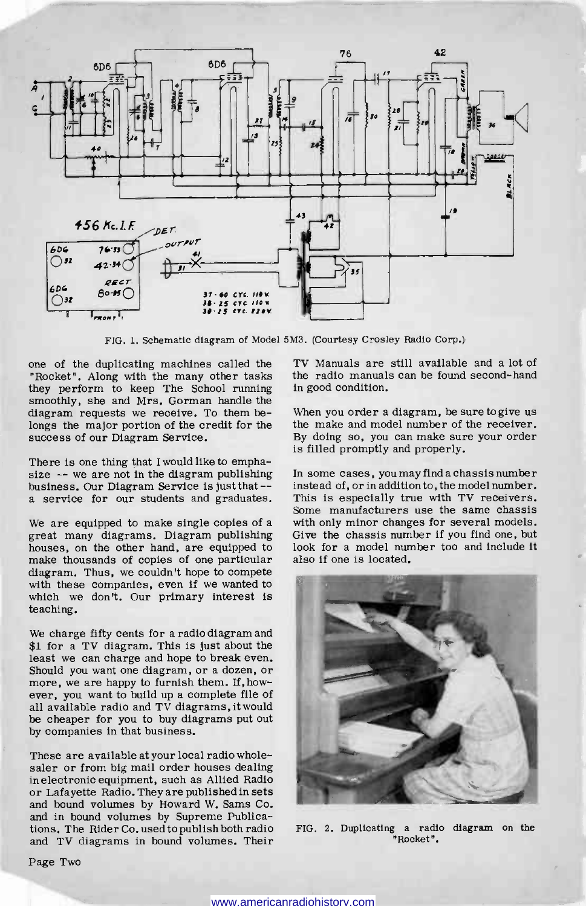

FIG. 1. Schematic diagram of Model 5M3. (Courtesy Crosley Radio Corp.)

one of the duplicating machines called the "Rocket". Along with the many other tasks they perform to keep The School running smoothly, she and Mrs. Gorman handle the diagram requests we receive. To them belongs the major portion of the credit for the success of our Diagram Service.

There is one thing that I would like to emphasize -- we are not in the diagram publishing business. Our Diagram Service is just that - a service for our students and graduates.

We are equipped to make single copies of a great many diagrams. Diagram publishing houses, on the other hand, are equipped to make thousands of copies of one particular diagram. Thus, we couldn't hope to compete with these companies, even if we wanted to which we don't. Our primary interest is teaching.

We charge fifty cents for a radio diagram and \$1 for a TV diagram. This is just about the least we can charge and hope to break even.<br>Should you want one diagram, or a dozen, or more, we are happy to furnish them. If, however, you want to build up a complete file of all available radio and TV diagrams, it would be cheaper for you to buy diagrams put out by companies in that business.

These are available at your local radio wholesaler or from big mail order houses dealing<br>inelectronic equipment, such as Allied Radio or Lafayette Radio. They are published in sets and bound volumes by Howard W. Sams Co. and in bound volumes by Supreme Publications. The Rider Co. used to publish both radio and TV diagrams in bound volumes. Their

TV Manuals are still available and a lot of the radio manuals can be found second-hand in good condition.

When you order a diagram, be sure to give us the make and model number of the receiver. By doing so, you can make sure your order is filled promptly and properly.

In some cases, you may find a chassis number instead of, or in addition to, the model number. This is especially true with TV receivers. Some manufacturers use the same chassis with only minor changes for several models. Give the chassis number if you find one, but look for a model number too and include it also if one is located.



FIG. 2. Duplicating a radio diagram on the "Rocket".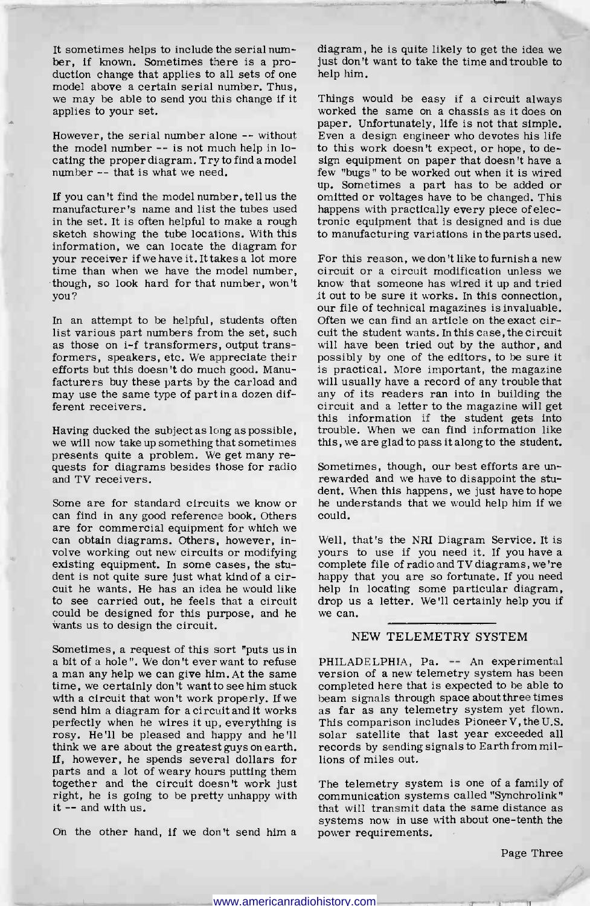It sometimes helps to include the serial number, if known. Sometimes there is a pro-<br>duction change that applies to all sets of one model above a certain serial number. Thus, we may be able to send you this change if it applies to your set.

the model number -- is not much help in locating the proper diagram. Try to find a model sign equipment on paper that doesn't have a number -- that is what we need.

manufacturer's name and list the tubes used in the set. It is often helpful to make a rough sketch showing the tube locations. With this information, we can locate the diagram for<br>your receiver if we have it. It takes a lot more time than when we have the model number, circuit or a circuit modification unless we though, so look hard for that number, won't know that someone has wired it up and tried though, so look hard for that number, won't you?

In an attempt to be helpful, students often<br>list various part numbers from the set, such as those on i-f transformers, output transformers, speakers, etc. We appreciate their efforts but this doesn't do much good. Manufacturers buy these parts by the carload and may use the same type of part in a dozen different receivers.

Having ducked the subject as long as possible, we will now take up something that sometimes presents quite a problem. We get many requests for diagrams besides those for radio Sometimes, though, our best efforts are un-<br>and TV receivers. and TV receivers.

Some are for standard circuits we know or can find in any good reference book. Others are for commercial equipment for which we can obtain diagrams. Others, however, involve working out new circuits or modifying existing equipment. In some cases, the student is not quite sure just what kind of a circuit he wants. He has an idea he would like to see carried out, he feels that a circuit could be designed for this purpose, and he wants us to design the circuit.

Sometimes, a request of this sort "puts us in a bit of a hole ". We don't ever want to refuse a man any help we can give him. At the same time, we certainly don 't want to see him stuck with a circuit that won't work properly. If we beam signals through space about three times send him a diagram for a circuit and it works as far as any telemetry system yet flown. perfectly when he wires it up, everything is rosy. He'll be pleased and happy and he'll think we are about the greatest guys on earth. If, however, he spends several dollars for parts and a lot of weary hours putting them<br>together and the circuit doesn't work just right, he is going to be pretty unhappy with it -- and with us.

diagram, he is quite likely to get the idea we just don't want to take the time and trouble to help him.

paper. Unfortunately, life is not that simple.<br>However, the serial number alone -- without Even a design engineer who devotes his life If you can't find the model number, tell us the omitted or voltages have to be changed. This Things would be easy if a circuit always worked the same on a chassis as it does on Even a design engineer who devotes his life to this work doesn't expect, or hope, to defew "bugs" to be worked out when it is wired up. Sometimes a part has to be added or happens with practically every piece of electronic equipment that is designed and is due to manufacturing variations in the parts used.

> For this reason, we don't like to furnish a new it out to be sure it works. In this connection, our file of technical magazines is invaluable. Often we can find an article on the exact circuit the student wants. In this case, the circuit will have been tried out by the author, and possibly by one of the editors, to be sure it is practical. More important, the magazine will usually have a record of any trouble that any of its readers ran into in building the circuit and a letter to the magazine will get this information if the student gets into trouble. When we can find information like this, we are glad to pass it along to the student.

Sometimes, though, our best efforts are undent. When this happens, we just have to hope he understands that we would help him if we could.

Well, that's the NRI Diagram Service. It is yours to use if you need it. If you have a complete file of radio and TV diagrams, we're happy that you are so fortunate. If you need help in locating some particular diagram, drop us a letter. We'll certainly help you if we can.

## NEW TELEMETRY SYSTEM

PHILADELPHIA, Pa. -- An experimental version of a new telemetry system has been completed here that is expected to be able to beam signals through space about three times This comparison includes Pioneer V, the U.S. solar satellite that last year exceeded all records by sending signals to Earth from millions of miles out.

systems now in use with about one-tenth the<br>On the other hand, if we don't send him a power requirements. The telemetry system is one of a family of communication systems called "Synchrolink" that will transmit data the same distance as power requirements.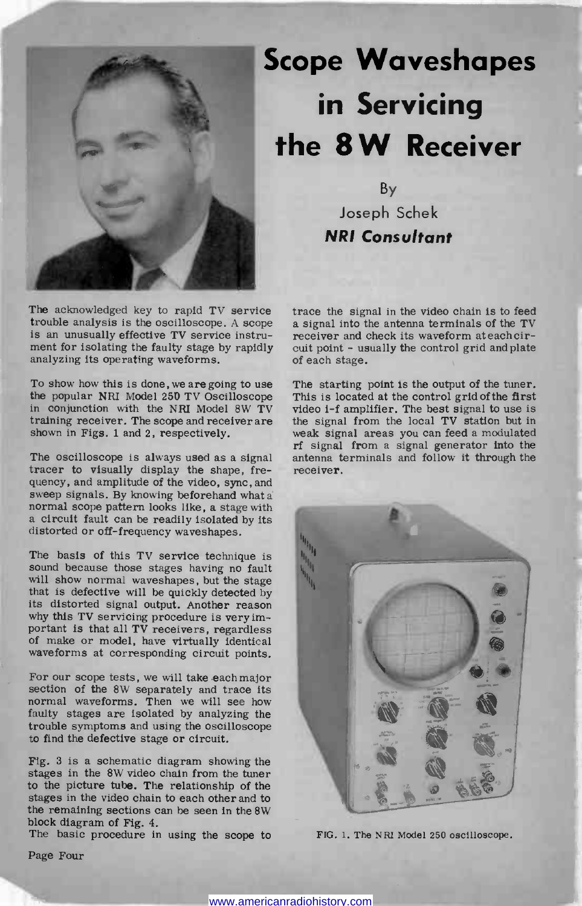

## Scope Waveshapes in Servicing the 8W Receiver

By Joseph Schek NRI Consultant

The acknowledged key to rapid TV service trace the signal in the video chain is to feed trouble analysis is the oscilloscope. A scope a signal into the antenna terminals of the TV is an unusually effective TV service instrument for isolating the faulty stage by rapidly analyzing its operating waveforms.

To show how this is done, we are going to use the popular NRI Model 250 TV Oscilloscope in conjunction with the NRI Model 8W TV training receiver. The scope and receiver are shown in Figs. 1 and 2, respectively.

The oscilloscope is always used as a signal tracer to visually display the shape, frequency, and amplitude of the video, sync, and sweep signals. By knowing beforehand what a normal scope pattern looks like, a stage with a circuit fault can be readily isolated by its distorted or off-frequency waveshapes.

The basis of this TV service technique is sound because those stages having no fault will show normal waveshapes, but the stage that is defective will be quickly detected by its distorted signal output. Another reason why this TV servicing procedure is very important is that all TV receivers, regardless of make or model, have virtually identical waveforms at corresponding circuit points.

For our scope tests, we will take each major section of the 8W separately and trace its normal waveforms. Then we will see how faulty stages are isolated by analyzing the trouble symptoms and using the oscilloscope to find the defective stage or circuit.

Fig. 3 is a schematic diagram showing the stages in the 8W video chain from the tuner to the picture tube. The relationship of the stages in the video chain to each other and to the remaining sections can be seen in the 8W block diagram of Fig. 4.

The basic procedure in using the scope to

trace the signal in the video chain is to feed receiver and check its waveform at each circuit point - usually the control grid and plate of each stage.

The starting point is the output of the tuner. This is located at the control grid of the first video i-f amplifier. The best signal to use is the signal from the local TV station but in weak signal areas you can feed a modulated rf signal from a signal generator into the antenna terminals and follow it through the receiver.

FIG. 1. The NRI Model 250 oscilloscope.

Page Four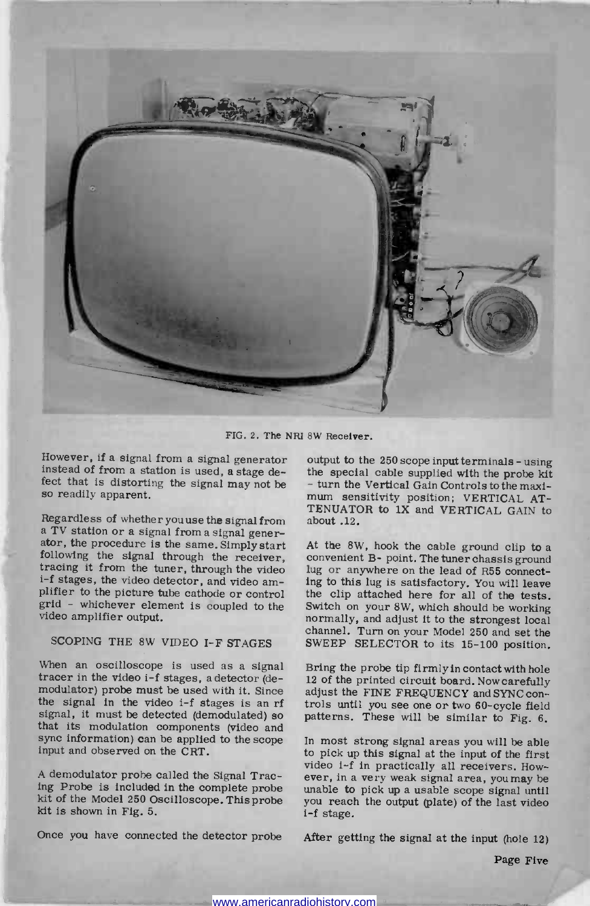

FIG. 2. The NRI 8W Receiver.

However, if a signal from a signal generator instead of from a station is used, a stage defect that is distorting the signal may not be so readily apparent.

Regardless of whether you use the signal from a bout .12.<br>
a TV station or a signal from a signal gener-<br>
ator, the procedure is the same. Simply start At the 8W, hook the cable ground clip to a<br>
following the signal throu tracing it from the tuner, through the video lug or anywhere on the lead of R55 connect $i-f$  stages, the video detector, and video am-<br>plifier to the picture tube cathode or control the clip attached here for all of the tests.<br>grid - whichever element is coupled to the Switch on your 8W, which should be work grid - whichever element is coupled to the video amplifier output.

## SCOPING THE 8W VIDEO I-F STAGES

When an oscilloscope is used as a signal Bring the probe tip firmly in contact with hole tracer in the video i-f stages, a detector (de-  $12$  of the printed circuit board. Now carefully modulator) probe must be used with the signal in the video i-f stages is an rf signal, it must be detected (demodulated) so that its modulation components (video and sync information) can be applied to the scope input and observed on the CRT.

A demodulator probe called the Signal Tracing Probe is included in the complete probe kit of the Model 250 Oscilloscope. This probe kit is shown in Fig. 5.

Once you have connected the detector probe

output to the 250 scope input terminals - using<br>the special cable supplied with the probe kit<br>- turn the Vertical Gain Controls to the maxi-<br>mum sensitivity position; VERTICAL AT-TENUATOR to 1X and VERTICAL GAIN to about .12.

convenient B- point. The tuner chassis ground ing to this lug is satisfactory. You will leave the clip attached here for all of the tests. normally, and adjust it to the strongest local channel, Turn on your Model 250 and set the SWEEP SELECTOR to its 15-100 position.

Bring the probe tip firmly in contact with hole trols until you see one or two 60-cycle field patterns. These will be similar to Fig. 6.

In most strong signal areas you will be able to pick up this signal at the input of the first video 1-f in practically all receivers. However, in a very weak signal area, you may be unable to pick up a usable scope signal until you reach the output (plate) of the last video i-f stage.

After getting the signal at the input (hole 12)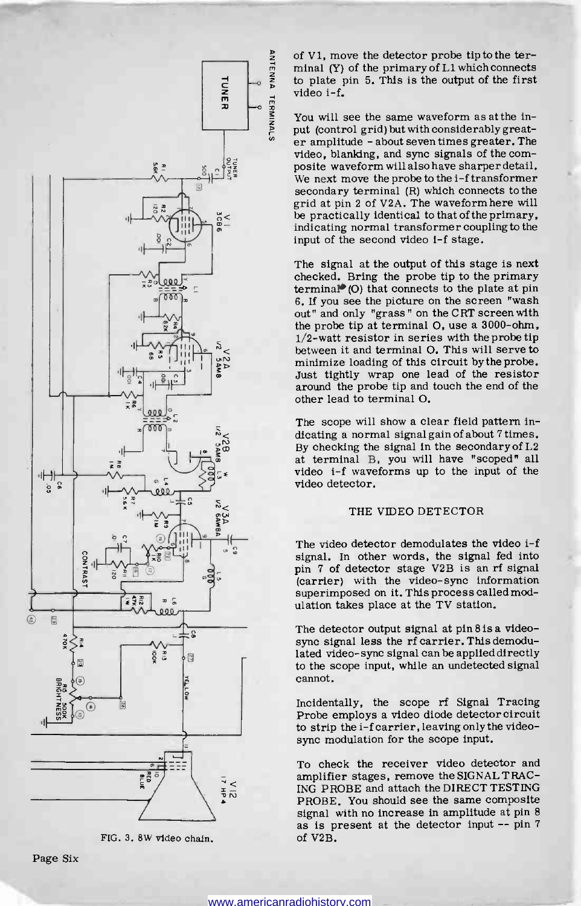

FIG. 3. 8W video chain.

of V1, move the detector probe tip to the terminal (Y) of the primary of L1 which connects to plate pin 5. This is the output of the first video i-f.

You will see the same waveform as at the input (control grid) but with considerably greater amplitude - about seven times greater. The video, blanking, and sync signals of the com- posite waveform will also have sharper detail. We next move the probe to the i-f transformer secondary terminal (R) which connects to the grid at pin 2 of V2A. The waveform here will be practically identical to that of the primary, indicating normal transformer coupling to the input of the second video i-f stage.

The signal at the output of this stage is next checked. Bring the probe tip to the primary  $termina$  $(0)$  that connects to the plate at pin 6. If you see the picture on the screen "wash out" and only "grass" on the CRT screen with the probe tip at terminal O, use a 3000-ohm,  $1/2$ -watt resistor in series with the probe tip between it and terminal O. This will serve to minimize loading of this circuit by the probe. Just tightly wrap one lead of the resistor around the probe tip and touch the end of the other lead to terminal O.

The scope will show a clear field pattern indicating a normal signal gain of about 7 times. By checking the signal in the secondary of L2 at terminal B, you will have "scoped" all video i-f waveforms up to the input of the video detector.

### THE VIDEO DETECTOR

The video detector demodulates the video 1-f signal. In other words, the signal fed into pin 7 of detector stage V2B is an rf signal (carrier) with the video-sync information superimposed on it. This process called modulation takes place at the TV station.

The detector output signal at pin 8 is a video-<br>sync signal less the rf carrier. This demodulated video-sync signal can be applied directly to the scope input, while an undetected signal cannot.

Incidentally, the scope rf Signal Tracing Probe employs a video diode detector circuit to strip the i-f carrier, leaving only the video-<br>sync modulation for the scope input.

To check the receiver video detector and amplifier stages, remove the SIGNAL TRAC-ING PROBE and attach the DIRECT TESTING PROBE. You should see the same composite<br>signal with no increase in amplitude at pin 8 as is present at the detector input  $--$  pin 7 of V2B.

"zesff-77-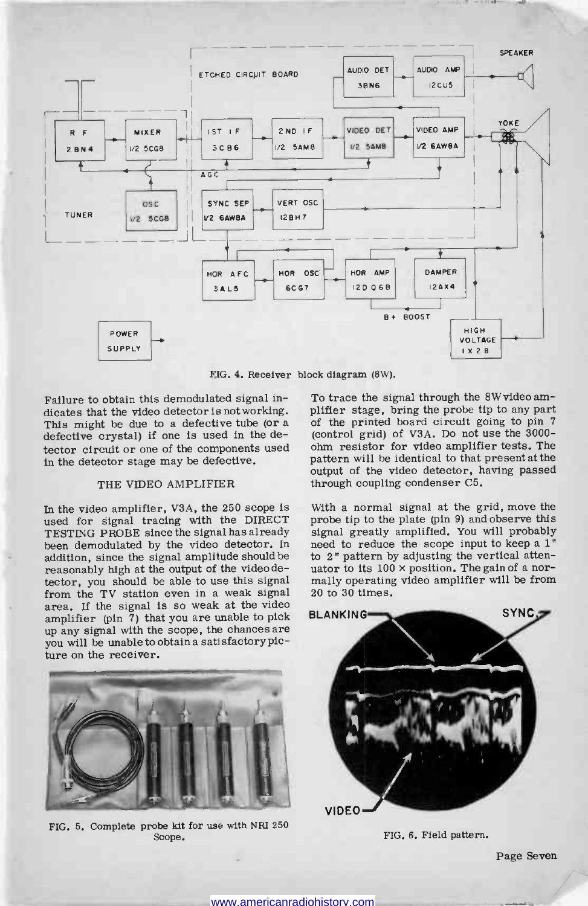

FIG. 4. Receiver block diagram (8W).

Failure to obtain this demodulated signal indicates that the video detector is not working. plifter stage, bring the probe tip to any part<br>This might be due to a defective tube (or a contract the printed board circuit going to pin 7 defective crystal) if one is used in the detector circuit or one of the components used in the detector stage may be defective.

### THE VIDEO AMPLIFIER

In the video amplifier, V3A, the 250 scope is used for signal tracing with the DIRECT TESTING PROBE since the signal has already been demodulated by the video detector. In addition, since the signal amplitude should be to 2" pattern by adjusting the vertical atten-<br>reasonably high at the output of the videode-<br>uator to its  $100 \times$  position. The gain of a norreasonably high at the output of the video detector, you should be able to use this signal from the TV station even in a weak signal area. If the signal is so weak at the video amplifier (pin 7) that you are unable to pick up any signal with the scope, the chances are you will be unable to obtain a satisfactory picture on the receiver.

To trace the signal through the 8W video am-(control grid) of V3A. Do not use the 3000ohm resistor for video amplifier tests. The pattern will be identical to that present at the output of the video detector, having passed through coupling condenser C5.

With a normal signal at the grid, move the probe tip to the plate (pin 9) and observe this signal greatly amplified. You will probably need to reduce the scope input to keep a 1" to 2" pattern by adjusting the vertical attenmally operating video amplifier will be from 20 to 30 times.



FIG. 5. Complete probe kit for use with NRI 250 Scope.



FIG. 6. Field pattern.

Page Seven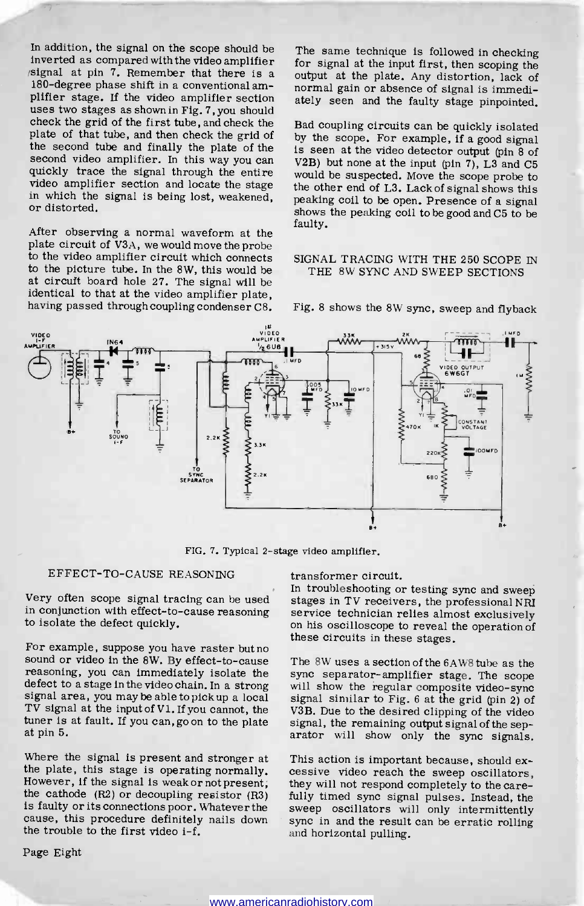In addition, the signal on the scope should be<br>inverted as compared with the video amplifier for signal at the input first, then scoping the  $\beta$ signal at pin 7. Remember that there is a 180-degree phase shift in a conventional amplifier stage. If the video amplifier section uses two stages as shown in Fig. 7, you should check the grid of the first tube, and check the plate of that tube, and then check the grid of by the scope. For example, if a good signal the second tube and finally the plate of the second video amplifier. In this way you can quickly trace the signal through the entire video amplifier section and locate the stage in which the signal is being lost, weakened, or distorted.

After observing a normal waveform at the plate circuit of V3A, we would move the probe to the video amplifier circuit which connects to the picture tube. In the 8W, this would be at circuft board hole 27. The signal will be identical to that at the video amplifier plate, having passed through coupling condenser C8. for signal at the input first, then scoping the output at the plate. Any distortion, lack of normal gain or absence of signal is immediately seen and the faulty stage pinpointed.

Bad coupling circuits can be quickly isolated is seen at the video detector output (pin 8 of V2B) but none at the input (pin 7), L3 and C5 would be suspected. Move the scope probe to the other end of L3. Lack of signal shows this peaking coil to be open. Presence of a signal shows the peaking coil to be good and C5 to be faulty.

### SIGNAL TRACING WITH THE 250 SCOPE IN THE 8W SYNC AND SWEEP SECTIONS



Fig. 8 shows the 8W sync, sweep and flyback

FIG. 7. Typical 2-stage video amplifier.

### EFFECT-TO-CAUSE REASONING

in conjunction with effect-to-cause reasoning to isolate the defect quickly.

For example, suppose you have raster but no<br>sound or video in the 8W. By effect-to-cause The 8W uses a section of the 6AW8 tube as the<br>reasoning, you can immediately isolate the sync separator-amplifier stage. The scope defect to a stage in the video chain. In a strong will show the regular composite video-sync signal area, you may be able to pick up a local signal similar to Fig. 6 at the grid (pin 2) of TV signal at the input of Vi, If you cannot, the at pin 5.

Where the signal is present and stronger at the plate, this stage is operating normally. cessive video reach the sweep oscillators, However, if the signal is weak or not present, they will not respond completely to the care-<br>the cathode (R2) or decoupling resistor ( cause, this procedure definitely nails down the trouble to the first video i-f.

Page Eight

transformer circuit.

Very often scope signal tracing can be used<br>in Conjunction with effect-to-cause reasoning service technician relies almost exclusively In troubleshooting or testing sync and sweep on his oscilloscope to reveal the operation of these circuits in these stages.

tuner is at fault. If you can, go on to the plate signal, the remaining output signal of the separator is at pin 5. The 8W uses a section of the 6AW8 tube as the signal similar to Fig.  $6$  at the grid (pin 2) of V3B. Due to the desired clipping of the video signal, the remaining output signal of the sep-

> This action is important because, should exthey will not respond completely to the carefully timed sync signal pulses. Instead, the sweep oscillators will only intermittently sync in and the result can be erratic rolling and horizontal pulling.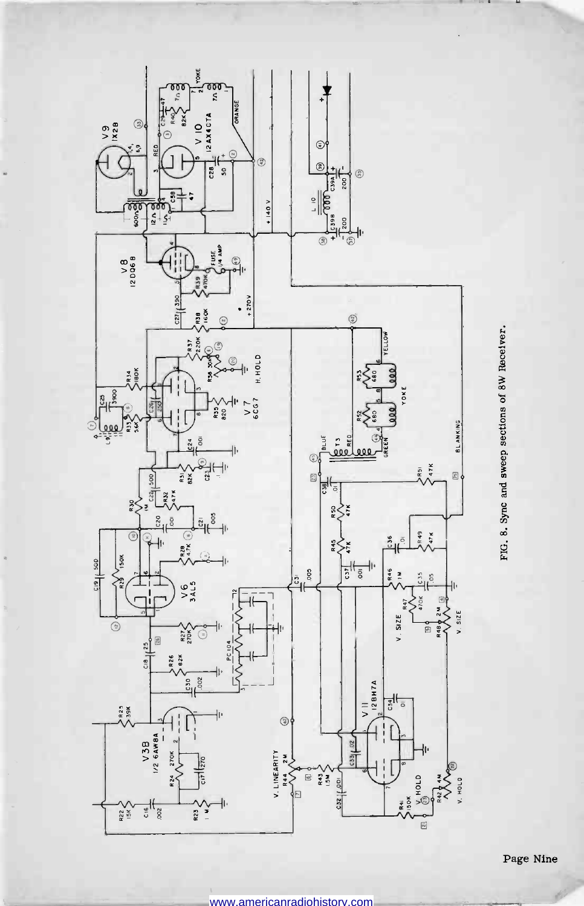

FIG. 8. Sync and sweep sections of 8W Receiver.

Page Nine

www.americanradiohistory.com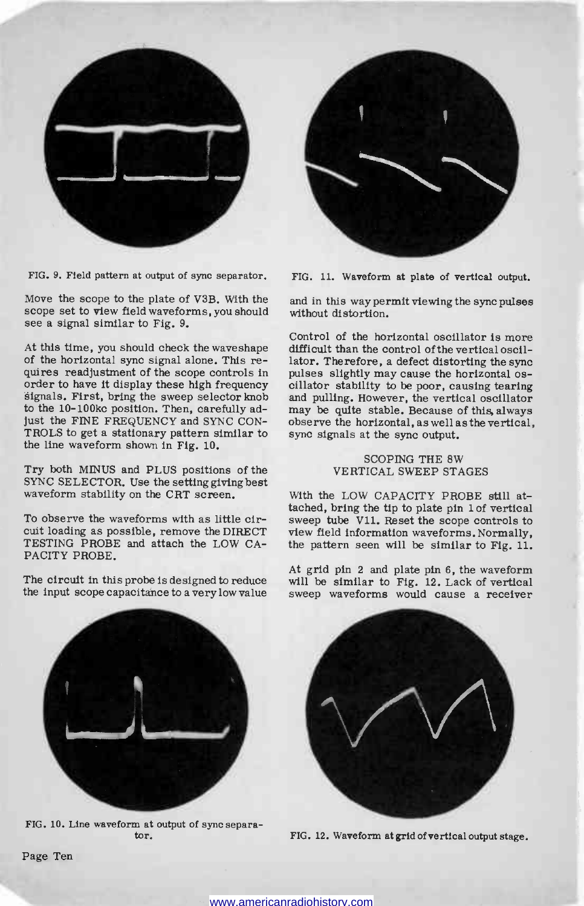

FIG. 9. Field pattern at output of sync separator.

Move the scope to the plate of V3B. With the scope set to view field waveforms, you should see a signal similar to Fig. 9.

of the horizontal sync signal alone. This requires readjustment of the scope controls in pulses slightly may cause the horizontal osorder to have it display these high frequency cillator stability to be poor, causing tearing signals. First, bring the sweep selector knob and pulling. However, the vertical oscillator to the 10-100kc position. Then, carefully adjust the FINE FREQUENCY and SYNC CON-TROLS to get a stationary pattern similar to the line waveform shown in Fig. 10.

Try both MINUS and PLUS positions of the SYNC SELECTOR. Use the setting giving best waveform stability on the CRT screen.

To observe the waveforms with as little circuit loading as possible, remove the DIRECT view field information waveforms. Normally, TESTING PROBE and attach the LOW CA- the pattern seen will be similar to Fig. 11. TESTING PROBE and attach the LOW CA-PACITY PROBE.

The circuit in this probe is designed to reduce the input scope capacitance to a very low value



FIG. 11. Waveform at plate of vertical output.

and in this way permit viewing the sync pulses without distortion.

At this time, you should check the waveshape difficult than the control of the vertical oscil-Control of the horizontal oscillator is more lator. Therefore, a defect distorting the sync and pulling. However, the vertical oscillator<br>may be quite stable. Because of this always observe the horizontal, as well as the vertical, sync signals at the sync output.

#### SCOPING THE 8W VERTICAL SWEEP STAGES

With the LOW CAPACITY PROBE still attached, bring the tip to plate pin lof vertical sweep tube Vll. Reset the scope controls to view field information waveforms. Normally,

At grid pin 2 and plate pin 6, the waveform will be similar to Fig. 12. Lack of vertical sweep waveforms would cause a receiver



FIG. 10. Line waveform at output of sync separator.



FIG. 12. Waveform at grid of vertical output stage.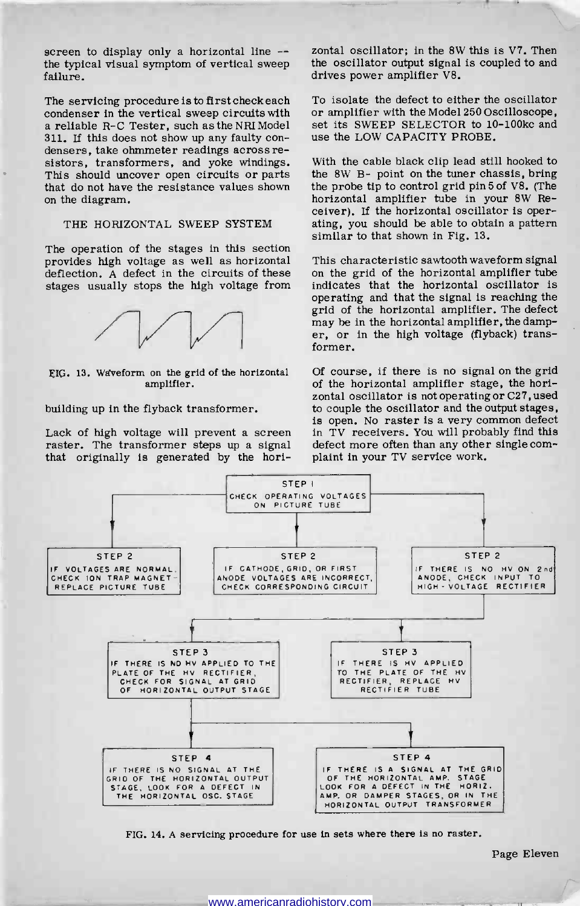screen to display only a horizontal line - the typical visual symptom of vertical sweep failure.

The servicing procedure is to first check each To isolate the defect to either the oscillator condenser in the vertical sweep circuits with or amplifier with the Model 250 Oscilloscope. condenser in the vertical sweep circuits with a reliable R-C Tester, such as the NRI Model set its SWEEP SELECTOR to 10<br>311. If this does not show up any faulty con- use the LOW CAPACITY PROBE. densers, take ohmmeter readings across resistors, transformers, and yoke windings. This should uncover open circuits or parts that do not have the resistance values shown on the diagram.

### THE HORIZONTAL SWEEP SYSTEM

The operation of the stages in this section provides high voltage as well as horizontal deflection. A defect in the circuits of these stages usually stops the high voltage from



FIG. 13. Waveform on the grid of the horizontal amplifier.

### building up in the flyback transformer.

Lack of high voltage will prevent a screen raster. The transformer steps up a signal defect more often than any other<br>that originally is generated by the hori- plaint in your TV service work. that originally is generated by the hori-

zontal oscillator; in the 8W this is V7. Then the oscillator output signal is coupled to and drives power amplifier V8.

To isolate the defect to either the oscillator set its SWEEP SELECTOR to 10-100kc and

With the cable black clip lead still hooked to the 8W B- point on the tuner chassis, bring the probe tip to control grid pin 5 of V8. (The horizontal amplifier tube in your 8W Receiver). If the horizontal oscillator is operating, you should be able to obtain a pattern similar to that shown in Fig. 13.

This characteristic sawtooth waveform signal on the grid of the horizontal amplifier tube indicates that the horizontal oscillator is operating and that the signal is reaching the grid of the horizontal amplifier. The defect may be in the horizontal amplifier, the damper, or in the high voltage (flyback) transformer.

Of course, if there is no signal on the grid of the horizontal amplifier stage, the horizontal oscillator is not operating or C27, used to couple the oscillator and the output stages, is open. No raster is a very common defect in TV receivers. You will probably find this defect more often than any other single com-



FIG. 14. A servicing procedure for use in sets where there is no raster.

Page Eleven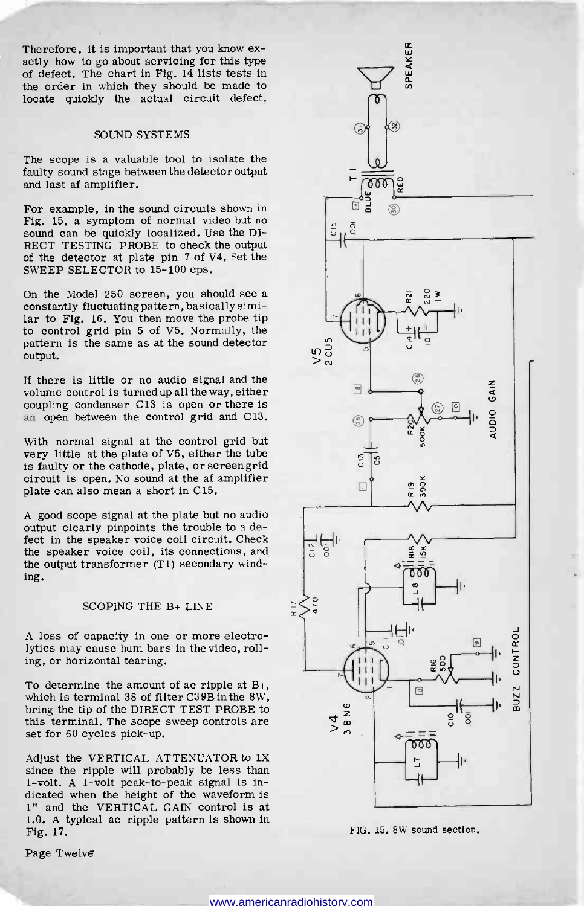Therefore, it is important that you know ex-<br>actly how to go about servicing for this type<br>the order the carde in the should be made to<br>the order in which they should be made to of defect. The chart in Fig. 14 lists tests in the order in which they should be made to locate quickly the actual circuit defect.

#### SOUND SYSTEMS

The scope is a valuable tool to isolate the faulty sound stage between the detector output and last af amplifier.

For example, in the sound circuits shown in Fig. 15, a symptom of normal video but no sound can be quickly localized. Use the DI-RECT TESTING PROBE to check the output of the detector at plate pin 7 of V4. Set the SWEEP SELECTOR to 15-100 cps.

On the Model 250 screen, you should see a constantly fluctuating pattern, basically similar to Fig. 16. You then move the probe tip to control grid pin 5 of V5. Normally, the pattern is the same as at the sound detector output.

If there is little or no audio signal and the volume control is turned up all the way, either coupling condenser C13 is open or there is an open between the control grid and C13.

With normal signal at the control grid but very little at the plate of V5, either the tube is faulty or the cathode, plate, or screen grid circuit is open. No sound at the af amplifier plate can also mean a short in C15.

A good scope signal at the plate but no audio output clearly pinpoints the trouble to a defect in the speaker voice coil circuit. Check the speaker voice coil, its connections, and the output transformer (Ti) secondary winding.

### SCOPING THE B+ LINE

A loss of capacity in one or more electrolytics may cause hum bars in the video, rolling, or horizontal tearing.

To determine the amount of ac ripple at B+, which is terminal 38 of filter C39B in the 8W, bring the tip of the DIRECT TEST PROBE to this terminal. The scope sweep controls are set for 60 cycles pick-up.

Adjust the VERTICAL ATTENUATOR to 1X since the ripple will probably be less than 1 -volt. A 1 -volt peak -to -peak signal is indicated when the height of the waveform is 1" and the VERTICAL GAIN control is at 1.0. A typical ac ripple pattern is shown in Fig. 17.

Page Twelve



FIG. 15. 8W sound section.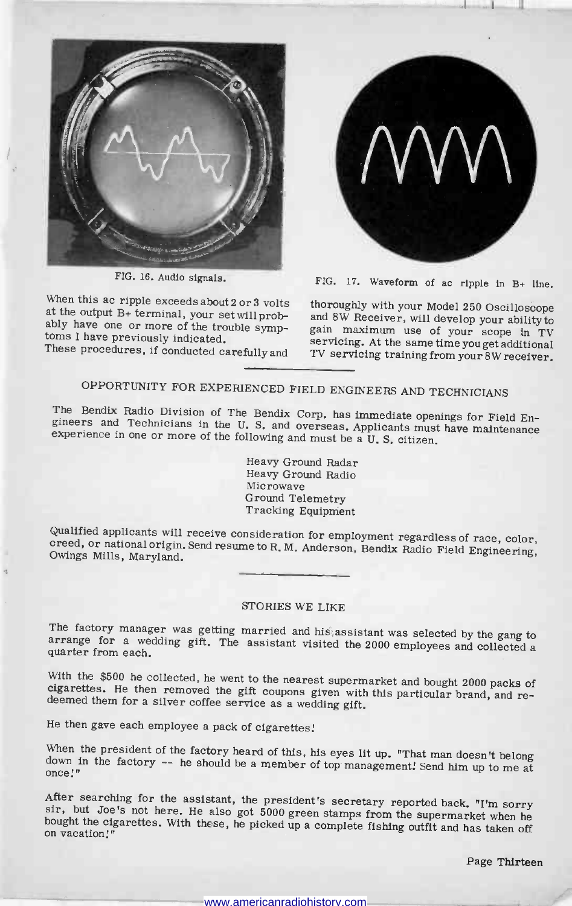

FIG. 16. Audio signals.

When this ac ripple exceeds about 2 or 3 volts<br>at the output B+ terminal, your set will prob-<br>and 8W Receiver, will develop your ability to ably have one or more of the trouble symp-<br>toms I have previously indicated.

These procedures, if conducted carefully and



FIG. 17. Waveform of ac ripple in B+ line.

gain maximum use of your scope in TV servicing. At the same time you get additional TV servicing training from your 8W receiver.

## OPPORTUNITY FOR EXPERIENCED FIELD ENGINEERS AND TECHNICIANS

The Bendix Radio Division of The Bendix Corp. has immediate openings for Field En-The Bendix Radio Division of The Bendix Corp. has immediate openings for Field Engineers and Technicians in the U.S. and overseas. Applicants must have maintenance experience in one or more of the following and must be a U

> Heavy Ground Radar Heavy Ground Radio Microwave Ground Telemetry Tracking Equipment

Qualified applicants will receive consideration for employment regardless of race, color, creed, or national origin, Send resume to R. M. Anderson, Bendix Radio Field Engineering, Owings Mills, Maryland.

## STORIES WE LIKE

The factory manager was getting married and his assistant was selected by the gang to arrange for a wedding gift. The assistant visited the 2000 employees and collected a quarter from each.

With the \$500 he collected, he went to the nearest supermarket and bought 2000 packs of cigarettes. He then removed the gift coupons given with this particular brand, and re-deemed them for a silver coffee service as a wed

He then gave each employee a pack of cigarettes!

When the president of the factory heard of this, his eyes lit up. "That man doesn't belong<br>down in the factory -- he should be a member of top management! Send him up to me at<br>once!"<br>After searching for the assistant, the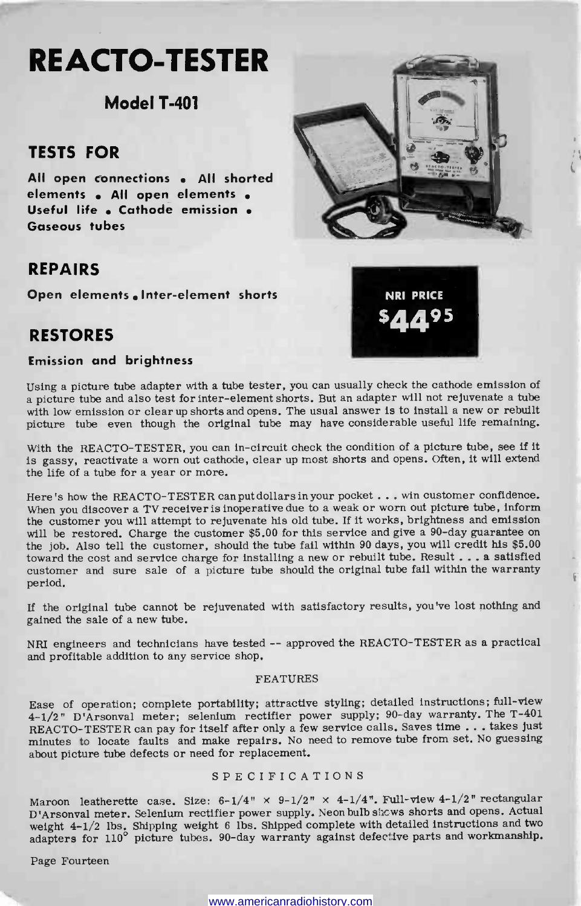## RE ACTO -TESTER

## Model T-401

## TESTS FOR

All open connections . All shorted elements . All open elements . Useful life . Cathode emission . Gaseous tubes

## REPAIRS

Open elements Inter-element shorts

## RESTORES

## Emission and brightness

Using a picture tube adapter with a tube tester, you can usually check the cathode emission of a picture tube and also test for inter -element shorts. But an adapter will not rejuvenate a tube with low emission or clear up shorts and opens. The usual answer is to install a new or rebuilt picture tube even though the original tube may have considerable useful life remaining.

With the REACTO-TESTER, you can in-circuit check the condition of a picture tube, see if it is gassy, reactivate a worn out cathode, clear up most shorts and opens. Often, it will extend the life of a tube for a year or more.

Here's how the REACTO-TESTER can put dollars in your pocket ... win customer confidence. When you discover a TV receiver is inoperative due to a weak or worn out picture tube, inform the customer you will attempt to rejuvenate his old tube. If it works, brightness and emission will be restored. Charge the customer \$5.00 for this service and give a 90-day guarantee on the job. Also tell the customer, should the tube fail within 90 days, you will credit his \$5.00 toward the cost and service charge for installing a new or rebuilt tube. Result ... a satisfied customer and sure sale of a picture tube should the original tube fail within the warranty period.

If the original tube cannot be rejuvenated with satisfactory results, you've lost nothing and gained the sale of a new tube.

NRI engineers and technicians have tested -- approved the REACTO-TESTER as a practical and profitable addition to any service shop.

### FEATURES

Ease of operation; complete portability; attractive styling; detailed instructions; full-view 4-1/2" D'Arsonval meter; selenium rectifier power supply; 90 -day warranty. The T-401 REACTO-TESTER can pay for itself after only a few service calls. Saves time ... takes just minutes to locate faults and make repairs. No need to remove tube from set. No guessing about picture tube defects or need for replacement.

## SPECIFICATIONS

Maroon leatherette case. Size:  $6-1/4$ " x  $9-1/2$ " x  $4-1/4$ ". Full-view  $4-1/2$ " rectangular D'Arsonval meter. Selenium rectifier power supply. Neon bulb shows shorts and opens. Actual weight 4-1/2 lbs. Shipping weight 6 lbs. Shipped complete with detailed instructions and two adapters for 110<sup>°</sup> picture tubes. 90-day warranty against defective parts and workmanship.

Page Fourteen



NRI PRICE \$4495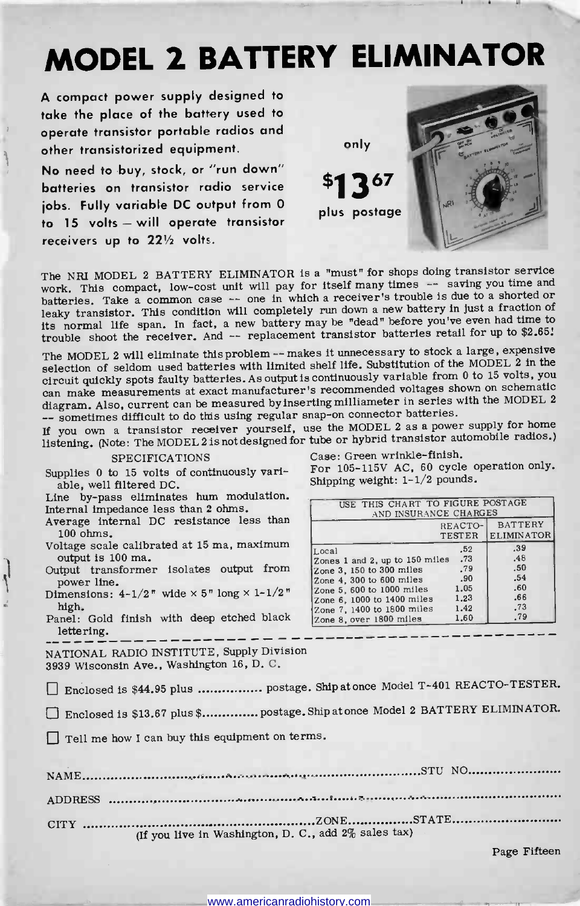## MODEL 2 BATTERY ELIMINATOR

A compact power supply designed to take the place of the battery used to operate transistor portable radios and other transistorized equipment.

No need to buy, stock, or "run down" batteries on transistor radio service jobs. Fully variable DC output from 0 to 15 volts - will operate transistor receivers up to  $22\frac{1}{2}$  volts.



For 105-115V AC, 60 cycle operation only.

USE THIS CHART TO FIGURE POSTAGE AND INSURANCE CHARGES

Local .52 .39<br>
Zones 1 and 2, up to 150 miles .73 .48

Zone 3, 150 to 300 miles .79 .50<br>
Zone 4, 300 to 600 miles .90 .54<br>
Zone 5, 600 to 1000 miles .1.23 .66<br>
Zone 7, 1400 to 1400 miles 1.23 .66<br>
Zone 7, 1400 to 1800 miles 1.42 .73<br>
Zone 7, 1400 to 1800 miles 1.40 .79

TESTER ELIMINATOR

Shipping weight: 1-1/2 pounds.

Zone 8, over 1800 miles

The NRI MODEL 2 BATTERY ELIMINATOR is a "must" for shops doing transistor service work. This compact, low-cost unit will pay for itself many times -- saving you time and batteries. Take a common case -- one in which a receiver's trouble is due to a shorted or leaky transistor. This condition will completely run down a new battery in just a fraction of its normal life span. In fact, a new battery may be "dead" before you've even had time to trouble shoot the receiver. And -- replacement transistor batteries retail for up to \$2.65:

The MODEL 2 will eliminate thisproblem -- makes it unnecessary to stock a large, expensive selection of seldom used batteries with limited shelf life. Substitution of the MODEL 2 in the circuit quickly spots faulty batteries. As output is continuously variable from 0 to 15 volts, you can make measurements at exact manufacturer's recommended voltages shown on schematic diagram. Also, current can be measured by inserting milliameter in series with the MODEL <sup>2</sup>-- sometimes difficult to do this using regular snap -on connector batteries.

If you own a transistor receiver yourself, use the MODEL 2 as a power supply for home listening. (Note: The MODEL 2 is not designed for tube or hybrid transistor automobile radios.) Case: Green wrinkle -finish.

### SPECIFICATIONS

Supplies 0 to 15 volts of continuously variable, well filtered DC.

Line by-pass eliminates hum modulation. Internal impedance less than 2 ohms.

- Average internal DC resistance less than 100 ohms.
- Voltage scale calibrated at 15 ma, maximum output is 100 ma.
- Output transformer isolates output from  $\begin{array}{r} \boxed{20ne3,150 \text{ to } 300 \text{ miles}} \\ \text{lower line} \end{array}$ power line.
- Dimensions:  $4-1/2$ " wide  $\times$  5" long  $\times$  1-1/2" Zone 5, 600 to 1000 miles high.
- mgn.  $\begin{array}{|l|l|}\n\hline\n\text{panel: Gold finish with deep etched black} & \begin{array}{|l|l|}\n\hline\n\text{zone 7, 1400 to 1800 miles} \\
\hline\n\end{array}\n\end{array}$ lettering.

NATIONAL RADIO INSTITUTE, Supply Division 3939 Wisconsin Ave., Washington 16, D. C.

Enclosed is \$44.95 plus ................ postage. Ship at once Model T-401 REACTO-TESTER.

Enclosed is \$13.67 plus \$............... postage. Ship at once Model 2 BATTERY ELIMINATOR.

D Tell me how I can buy this equipment on terms.

| (If you live in Washington, D. C., add 2% sales tax) |
|------------------------------------------------------|

Page Fifteen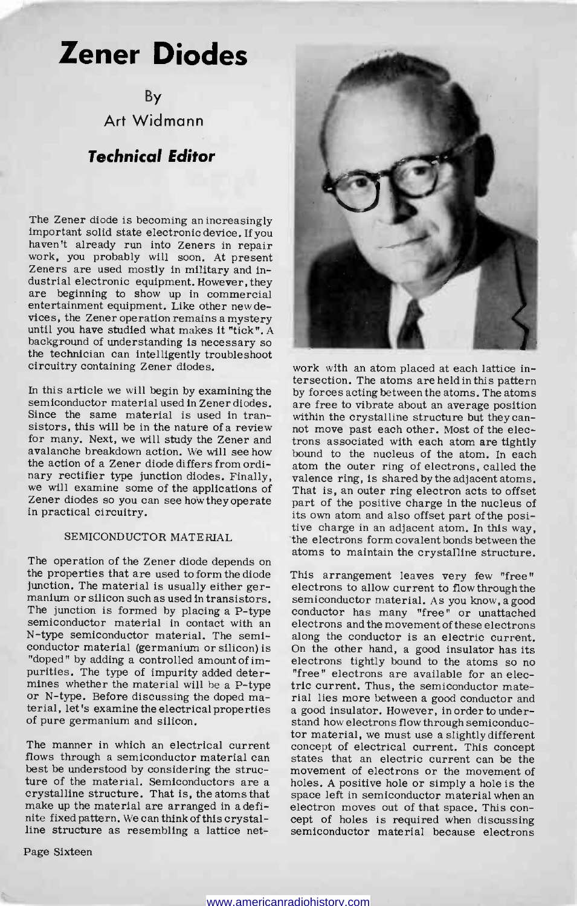## Zener Diodes

By Art Widmann

## Technical Editor

The Zener diode is becoming an increasingly important solid state electronic device. If you haven't already run into Zeners in repair Work, you probably will soon. At present Zeners are used mostly in military and industrial electronic equipment. However, they are beginning to show up in commercial entertainment equipment. Like other new de-<br>vices, the Zener operation remains a mystery until you have studied what makes it "tick". A background of understanding is necessary so the technician can intelligently troubleshoot circuitry containing Zener diodes.

In this article we will begin by examining the semiconductor material used in Zener diodes. are free to vibrate about an average position Since the same material is used in transistors, this will be in the nature of a review not move past each other. Most of the elecfor many. Next, we will study the Zener and avalanche breakdown action. We will see how the action of a Zener diode differs from ordinary rectifier type junction diodes. Finally, we will examine some of the applications of Zener diodes so you can see howtheyoperate in practical circuitry.

## SEMICONDUCTOR MATERIAL

The operation of the Zener diode depends on the properties that are used to form the diode junction. The material is usually either ger-<br>manium or silicon such as used in transistors. semiconductor material. As you know, a good<br>The junction is formed by placing a P-type conductor has many "free" or unattached The junction is formed by placing a P -type semiconductor material in contact with an N -type semiconductor material. The semiconductor material (germanium or silicon) is On the other hand, a good insulator has its "doped" by adding a controlled amount of im-<br>electrons tightly bound to the atoms so no "doped" by adding a controlled amount of impurities. The type of impurity added deter-<br>mines whether the material will be a P-type or N-type. Before discussing the doped material, let's examine the electrical properties of pure germanium and silicon.

The manner in which an electrical current<br>flows through a semiconductor material can best be understood by considering the structure of the material. Semiconductors are a holes. A positive hole or simply a hole is the crystalline structure. That is, the atoms that space left in semiconductor material when an make up the material are arranged in a definite fixed pattern. We can think of this crystalline structure as resembling a lattice net-

Page Sixteen



work with an atom placed at each lattice intersection. The atoms are held in this pattern by forces acting between the atoms. The atoms within the crystalline structure but they cantrons associated with each atom are tightly bound to the nucleus of the atom. In each atom the outer ring of electrons, called the valence ring, is shared by the adjacent atoms. That is, an outer ring electron acts to offset part of the positive charge in the nucleus of<br>its own atom and also offset part of the positive charge in an adjacent atom. In this way, the electrons form covalent bonds between the atoms to maintain the crystalline structure.

This arrangement leaves very few "free" electrons to allow current to flow through the semiconductor material. As you know, a good electrons and the movement of these electrons along the conductor is an electric current. On the other hand, a good insulator has its "free" electrons are available for an electric current. Thus, the semiconductor material lies more between a good conductor and a good insulator. However, in order to understand how electrons flow through semiconductor material, we must use a slightly different concept of electrical current. This concept states that an electric current can be the movement of electrons or the movement of holes. A positive hole or simply a hole is the electron moves out of that space. This con-<br>cept of holes is required when discussing<br>semiconductor material because electrons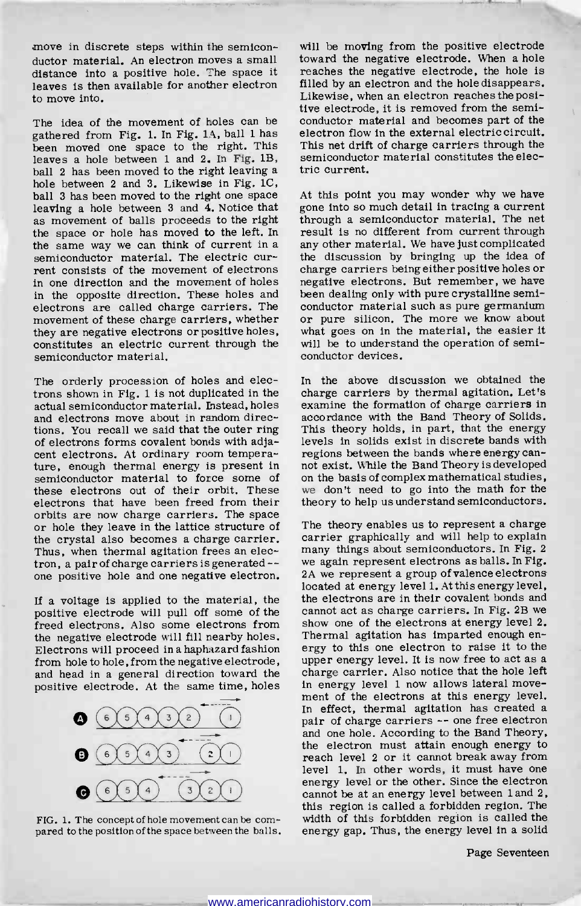move in discrete steps within the semiconductor material. An electron moves a small distance into a positive hole. The space it leaves is then available for another electron to move into.

The idea of the movement of holes can be gathered from Fig. 1. In Fig. 1A, ball 1 has been moved one space to the right. This leaves a hole between 1 and 2. In Fig. 1B, ball 2 has been moved to the right leaving a hole between 2 and 3. Likewise in Fig. 1C, ball 3 has been moved to the right one space leaving a hole between  $3$  and  $\overline{4}$ . Notice that as movement of balls proceeds to the right the space or hole has moved to the left. In the same way we can think of current in a semiconductor material. The electric current consists of the movement of electrons charge carriers being either positive holes or<br>in one direction and the movement of holes negative electrons. But remember, we have in one direction and the movement of holes in the opposite direction. These holes and been dealing only with pure crystalline semi-<br>electrons are called charge carriers. The conductor material such as pure germanium electrons are called charge carriers. The movement of these charge carriers, whether they are negative electrons or positive holes, constitutes an electric current through the semiconductor material.

The orderly procession of holes and electrons shown in Fig. 1 is not duplicated in the actual semiconductor material. Instead, holes and electrons move about in random directions. You recall we said that the outer ring of electrons forms covalent bonds with adjacent electrons. At ordinary room temperature, enough thermal energy is present in semiconductor material to force some of these electrons out of their orbit. These electrons that have been freed from their<br>orbits are now charge carriers. The space or hole they leave in the lattice structure of the crystal also becomes a charge carrier. Thus, when thermal agitation frees an electron, a pair of charge carriers is generated -- one positive hole and one negative electron.

positive electrode will pull off some of the freed electrons. Also some electrons from show one of the electrons at energy level 2.<br>the negative electrode will fill nearby holes. Thermal agitation has imparted enough enthe negative electrode will fill nearby holes. Electrons will proceed in a haphazard fashion ergy to this one electron to raise it to the from hole to hole, from the negative electrode, upper energy level. It is now free to act as a from hole to hole, from the negative electrode, and head in a general direction toward the



FIG. 1. The concept of hole movement can be com- pared to the position of the space between the balls.

will be moving from the positive electrode toward the negative electrode. When a hole reaches the negative electrode, the hole is filled by an electron and the hole disappears. Likewise, when an electron reaches the positive electrode, it is removed from the semiconductor material and becomes part of the electron flow in the external electric circuit. This net drift of charge carriers through the semiconductor material constitutes the electric current.

At this point you may wonder why we have gone into so much detail in tracing a current through a semiconductor material. The net result is no different from current through any other material. We have just complicated the discussion by bringing up the idea of charge carriers being either positive holes or been dealing only with pure crystalline semior pure silicon. The more we know about what goes on in the material, the easier it will be to understand the operation of semiconductor devices.

In the above discussion we obtained the charge carriers by thermal agitation. Let's examine the formation of charge carriers in accordance with the Band Theory of Solids. This theory holds, in part, that the energy levels in solids exist in discrete bands with regions between the bands where energy canon the basis of complex mathematical studies, we don't need to go into the math for the theory to help us understand semiconductors.

If a voltage is applied to the material, the the electrons are in their covalent bonds and positive electrode will pull off some of the cannot act as charge carriers. In Fig. 2B we positive electrode. At the same time, holes in energy level 1 now allows lateral move-<br>ment of the electrons at this energy level. The theory enables us to represent a charge carrier graphically and will help to explain many things about semiconductors. In Fig. 2 we again represent electrons as balls. In Fig. 2A we represent a group of valence electrons located at energy level 1. At this energy level, the electrons are in their covalent bonds and show one of the electrons at energy level 2. ergy to this one electron to raise it to the charge carrier. Also notice that the hole left in energy level 1 now allows lateral move-In effect, thermal agitation has created a pair of charge carriers -- one free electron and one hole. According to the Band Theory, the electron must attain enough energy to reach level 2 or it cannot break away from<br>level 1. In other words, it must have one energy level or the other. Since the electron cannot be at an energy level between land 2, this region is called a forbidden region. The width of this forbidden region is called the energy gap. Thus, the energy level in a solid

Page Seventeen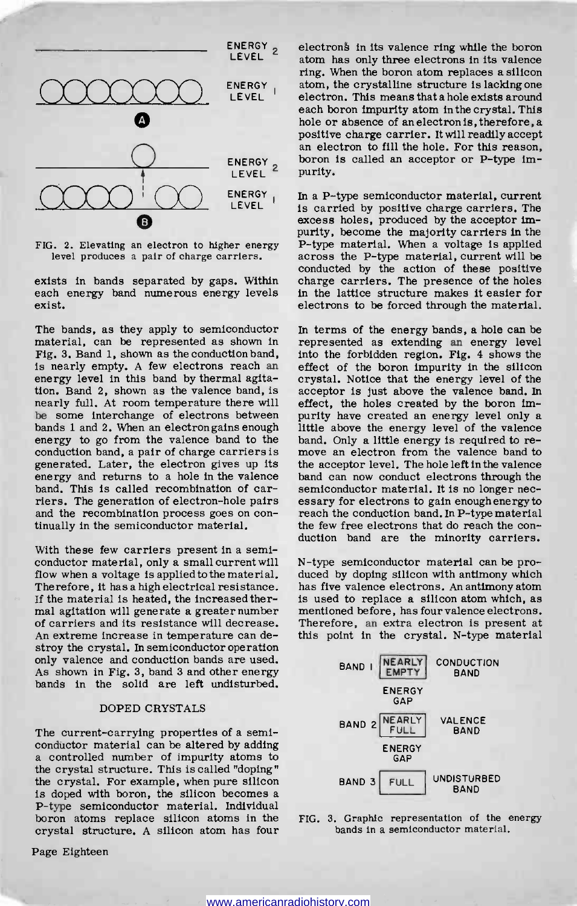

FIG. 2. Elevating an electron to higher energy level produces a pair of charge carriers.

exists in bands separated by gaps. Within each energy band numerous energy levels exist.

The bands, as they apply to semiconductor material, can be represented as shown in Fig. 3. Band 1, shown as the conduction band, is nearly empty. A few electrons reach an energy level in this band by thermal agitation. Band 2, shown as the valence band, is nearly full. At room temperature there will effect, the holes created by the boron im-<br>be some interchange of electrons between purity have created an energy level only a be some interchange of electrons between bands 1 and 2. When an electron gains enough little above the energy level of the valence energy to go from the valence band to the band. Only a little energy is required to reenergy to go from the valence band to the conduction band, a pair of charge carriers is generated. Later, the electron gives up its energy and returns to a hole in the valence band. This is called recombination of carriers. The generation of electron -hole pairs and the recombination process goes on con- tinually in the semiconductor material.

With these few carriers present in a semiconductor material, only a small current will flow when a voltage is applied to the material. Therefore, it has a high electrical resistance. If the material is heated, the increased thermal agitation will generate a greater number of carriers and its resistance will decrease. An extreme increase in temperature can destroy the crystal. In semiconductor operation only valence and conduction bands are used. As shown in Fig. 3, band 3 and other energy bands in the solid are left undisturbed.

### DOPED CRYSTALS

The current-carrying properties of a semi-conductor material can be altered by adding a controlled number of impurity atoms to the crystal structure. This is called "doping" the crystal. For example, when pure silicon is doped with boron, the silicon becomes a P -type semiconductor material. Individual boron atoms replace silicon atoms in the crystal structure. A silicon atom has four

Page Eighteen

electrons in its valence ring while the boron atom has only three electrons in its valence ring. When the boron atom replaces a silicon atom, the crystalline structure is lacking one electron. This means that a hole exists around each boron impurity atom in the crystal. This<br>hole or absence of an electron is, therefore, a positive charge carrier. It will readily accept an electron to fill the hole. For this reason, boron is called an acceptor or P-type impurity.

In a P-type semiconductor material, current is carried by positive charge carriers. The excess holes, produced by the acceptor impurity, become the majority carriers in the P-type material. When a voltage is applied across the P-type material, current will be conducted by the action of these positive charge carriers. The presence of the holes in the lattice structure makes it easier for electrons to be forced through the material.

In terms of the energy bands, a hole can be represented as extending an energy level into the forbidden region. Fig. 4 shows the effect of the boron impurity in the silicon crystal. Notice that the energy level of the acceptor is just above the valence band. In effect, the holes created by the boron imlittle above the energy level of the valence move an electron from the valence band to the acceptor level. The hole left in the valence band can now conduct electrons through the semiconductor material. It is no longer necreach the conduction band. In P-type material the few free electrons that do reach the con- duction band are the minority carriers.

N -type semiconductor material can be produced by doping silicon with antimony which has five valence electrons. An antimony atom is used to replace a silicon atom which, as Therefore, an extra electron is present at this point in the crystal. N-type material



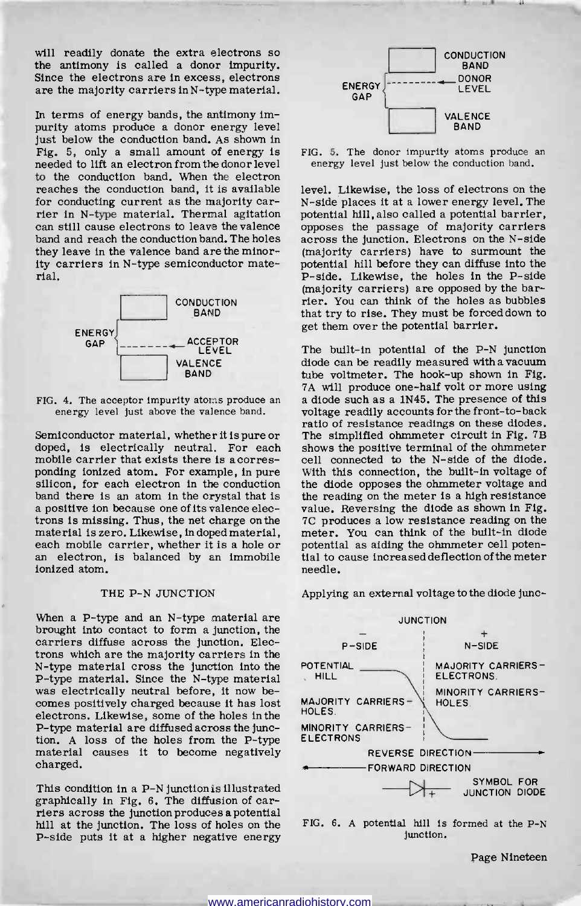will readily donate the extra electrons so the antimony is called a donor impurity. Since the electrons are in excess, electrons are the majority carriers in N -type material.

In terms of energy bands, the antimony impurity atoms produce a donor energy level just below the conduction band. As shown in Fig. 5, only a small amount of energy is FIG. 5. The donor impurity atoms produce an eded to lift an electron from the donor level energy level just below the conduction band. needed to lift an electron from the donor level to the conduction band. When the electron reaches the conduction band, it is available for conducting current as the majority carrier in N-type material. Thermal agitation can still cause electrons to leave the valence band and reach the conduction band. The holes they leave in the valence band are the minority carriers in N-type semiconductor material.





Semiconductor material, whether it is pure or doped, is electrically neutral. For each mobile carrier that exists there is a corres-<br>ponding ionized atom. For example, in pure silicon, for each electron in the conduction band there is an atom in the crystal that is a positive ion because one of its valence electrons is missing. Thus, the net charge on the material is zero. Likewise, in doped material, an electron, is balanced by an immobile ionized atom.

#### THE P-N JUNCTION

When a P-type and an N-type material are brought into contact to form a junction, the carriers diffuse across the junction. Electrons which are the majority carriers in the N-type material cross the junction into the POTENT<br>P-type material Since the N-type material P-type material. Since the N-type material<br>was electrically neutral before, it now be-<br>comes positively charged because it has lost MAJOR electrons. Likewise, some of the holes in the P-type material are diffused across the junction. A loss of the holes from the P -type material causes it to become negatively charged.

This condition in a P-N junction is illustrated graphically in Fig. 6. The diffusion of carriers across the junctionproduces a potential hill at the junction. The loss of holes on the P-side puts it at a higher negative energy



FIG. 5. The donor impurity atoms produce an

level. Likewise, the loss of electrons on the <sup>N</sup>-side places it at a lower energy level. The potential hill, also called a potential barrier, opposes the passage of majority carriers across the junction. Electrons on the N-side (majority carriers) have to surmount the potential hill before they can diffuse into the P-side. Likewise, the holes in the P-side (majority carriers) are opposed by the barrier. You can think of the holes as bubbles that try to rise. They must be forced down to get them over the potential barrier.

The built-in potential of the P-N junction<br>diode can be readily measured with a vacuum tube voltmeter. The hook-up shown in Fig. 7A will produce one-half volt or more using a diode such as a 1N45. The presence of this voltage readily accounts for the front -to -back ratio of resistance readings on these diodes. The simplified ohmmeter circuit in Fig. 7B shows the positive terminal of the ohmmeter cell connected to the N-side of the diode. With this connection, the built-in voltage of the diode opposes the ohmmeter voltage and the reading on the meter is a high resistance value. Reversing the diode as shown in Fig. 7C produces a low resistance reading on the meter. You can think of the built-in diode potential as aiding the ohmmeter cell potential to cause increased deflection of the meter needle.

Applying an external voltage to the diode junc-





Page Nineteen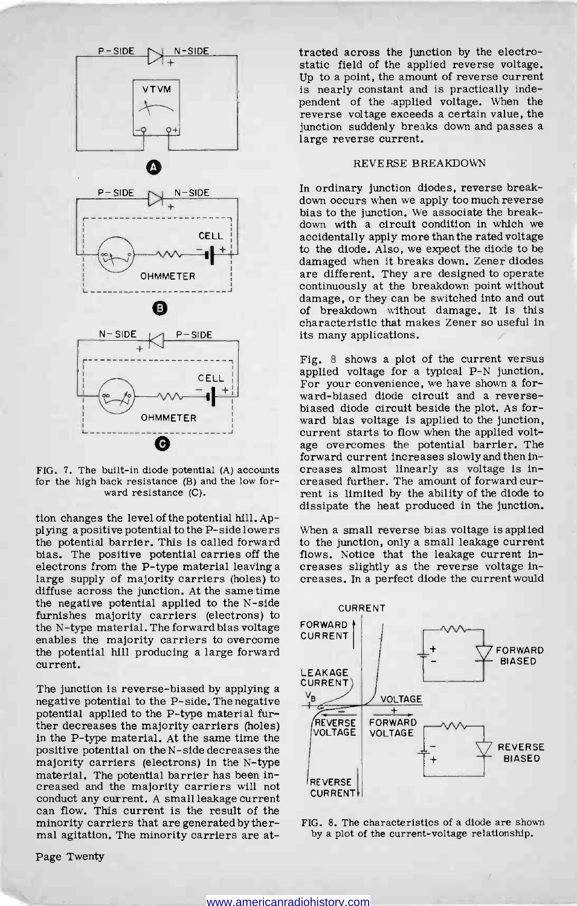

FIG. 7. The built-in diode potential (A) accounts for the high back resistance (B) and the low forward resistance (C).

tion changes the level of the potential hill. Applying a positive potential to the P-side lowers the potential barrier. This is called forward bias. The positive potential carries off the electrons from the P-type material leaving a large supply of majority carriers (holes) to diffuse across the junction. At the same time the negative potential applied to the N-side furnishes majority carriers (electrons) to the N-type material. The forward bias voltage enables the majority carriers to overcome the potential hill producing a large forward current.

The junction is reverse -biased by applying a negative potential to the P -side. The negative potential applied to the P-type material further decreases the majority carriers (holes) in the P-type material. At the same time the positive potential on the N -side decreases the majority carriers (electrons) in the N-type material. The potential barrier has been increased and the majority carriers will not can flow. This current is the result of the minority carriers that are generated by thermal agitation. The minority carriers are at-

Page Twenty

tracted across the junction by the electrostatic field of the applied reverse voltage. Up to a point, the amount of reverse current is nearly constant and is practically independent of the applied voltage. When the reverse voltage exceeds a certain value, the junction suddenly breaks down and passes a large reverse current.

#### REVERSE BREAKDOWN

In ordinary junction diodes, reverse breakdown occurs when we apply too much reverse bias to the junction. We associate the break-<br>down with a circuit condition in which we accidentally apply more than the rated voltage to the diode. Also, we expect the diode to be damaged when it breaks down. Zener diodes are different. They are designed to operate continuously at the breakdown point without damage, or they can be switched into and out of breakdown without damage. It is this characteristic that makes Zener so useful in its many applications.

Fig. 8 shows a plot of the current versus applied voltage for a typical P-N junction. For your convenience, we have shown a forward-biased diode circuit and a reverse-<br>biased diode circuit beside the plot. As forward bias voltage is applied to the junction, current starts to flow when the applied voltage overcomes the potential barrier. The forward current increases slowly and then increases almost linearly as voltage is increased further. The amount of forward current is limited by the ability of the diode to dissipate the heat produced in the junction.

When a small reverse bias voltage is applied to the junction, only a small leakage current flows. Notice that the leakage current increases slightly as the reverse voltage increases. In a perfect diode the current would



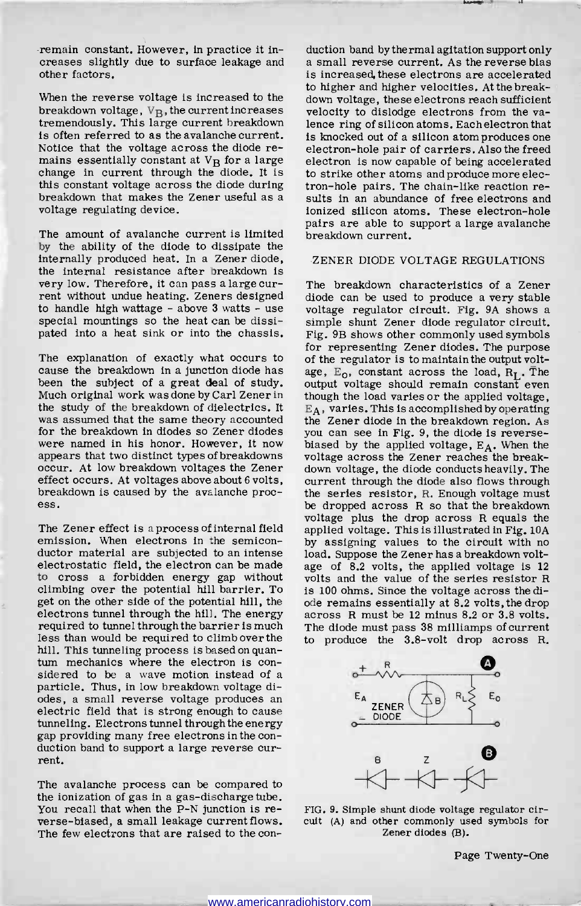remain constant. However, in practice it inother factors.

When the reverse voltage is increased to the breakdown voltage,  $V_B$ , the current increases velocity to dislodge electrons from the vatremendously. This large current breakdown is often referred to as the avalanche current. is knocked out of a silicon atom produces one Notice that the voltage across the diode remains essentially constant at  $V_B$  for a large change in current through the diode. It is this constant voltage across the diode during breakdown that makes the Zener useful as a voltage regulating device.

The amount of avalanche current is limited by the ability of the diode to dissipate the internally produced heat. In a Zener diode, the internal resistance after breakdown is very low. Therefore, it can pass a large current without undue heating. Zeners designed<br>to handle high wattage - above 3 watts - use special mountings so the heat can be dissispecial mountings so the heat can be dissi-<br>pated into a heat sink or into the chassis. Fig. 9B shows other commonly used symbols

The explanation of exactly what occurs to cause the breakdown in a junction diode has been the subject of a great deal of study. Much original work was done by Carl Zener in though the load varies or the applied voltage, the study of the breakdown of dielectrics. It was assumed that the same theory accounted for the breakdown in diodes so Zener diodes you can see in Fig. 9, the diode is reverse-<br>were named in his honor. However, it now biased by the applied voltage,  $E_A$ . When the<br>appears that two distinct types of breakdowns effect occurs. At voltages above about 6 volts, breakdown is caused by the avalanche process.

The Zener effect is a process of internal field emission. When electrons in the semiconductor material are subjected to an intense load. Suppose the Zener has a breakdown voltelectrostatic field, the electron can be made to cross a forbidden energy gap without climbing over the potential hill barrier. To get on the other side of the potential hill, the electrons tunnel through the hill. The energy required to tunnel through the barrier is much less than would be required to climb over the hill. This tunneling process is based on quantum mechanics where the electron is con-<br>sidered to be a wave motion instead of a<br>particle. Thus, in low breakdown voltage diodes, a small reverse voltage produces an electric field that is strong enough to cause tunneling. Electrons tunnel through the energy duction band to support a large reverse current.

The avalanche process can be compared to the ionization of gas in a gas-discharge tube. You recall that when the P-N junction is reverse -biased, a small leakage current flows. The few electrons that are raised to the con-

creases slightly due to surface leakage and a small reverse current. As the reverse bias duction band by thermal agitation support only is increased, these electrons are accelerated to higher and higher velocities. At the breakdown voltage, these electrons reach sufficient lence ring of silicon atoms. Each electron that electron-hole pair of carriers. Also the freed electron is now capable of being accelerated to strike other atoms and produce more electron -hole pairs. The chain -like reaction results in an abundance of free electrons and ionized silicon atoms. These electron-hole pairs are able to support a large avalanche breakdown current.

#### ZENER DIODE VOLTAGE REGULATIONS

The breakdown characteristics of a Zener diode can be used to produce a very stable voltage regulator circuit. Fig. 9A shows a Fig. 9B shows other commonly used symbols for representing Zener diodes. The purpose of the regulator is to maintain the output voltage,  $E_0$ , constant across the load,  $R_L$ . The output voltage should remain constant even  $E_A$ , varies. This is accomplished by operating the Zener diode in the breakdown region. As biased by the applied voltage,  $E_A$ . When the voltage across the Zener reaches the breakdown voltage, the diode conducts heavily. The current through the diode also flows through the series resistor, R. Enough voltage must be dropped across R so that the breakdown voltage plus the drop across R equals the applied voltage. This is illustrated in Fig. 10A by assigning values to the circuit with no age of 8.2 volts, the applied voltage is <sup>12</sup> volts and the value of the series resistor R is 100 ohms. Since the voltage across the diode remains essentially at 8.2 volts, the drop across R must be 12 minus 8.2 or 3.8 volts. The diode must pass 38 milliamps of current to produce the 3.8 -volt drop across R.



FIG. 9. Simple shunt diode voltage regulator circuit (A) and other commonly used symbols for Zener diodes (B).

Page Twenty-One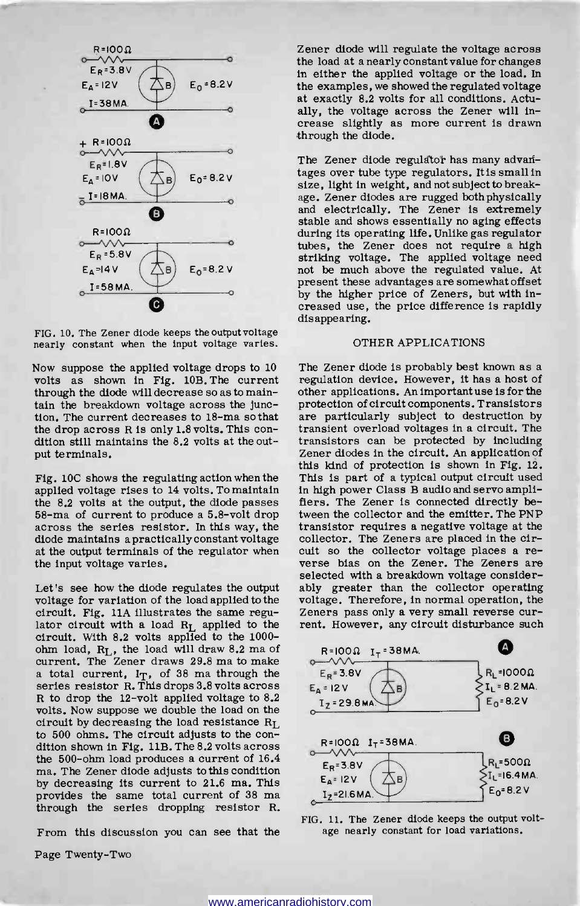

FIG. 10. The Zener diode keeps the output voltage nearly constant when the input voltage varies.

volts as shown in Fig. 10B. The current through the diode will decrease so as to maintain the breakdown voltage across the junction. The current decreases to 18-ma so that the drop across R is only 1.8 volts. This con-<br>dition still maintains the 8.2 volts at the output terminals.

Fig. 10C shows the regulating action when the applied voltage rises to 14 volts. To maintain the 8.2 volts at the output, the diode passes 58 -ma of current to produce a 5.8 -volt drop across the series resistor. In this way, the diode maintains a practically constant voltage at the output terminals of the regulator when the input voltage varies.

voltage for variation of the load applied to the circuit. Fig. 11A illustrates the same regu-<br>lator circuit with a load  $R_L$  applied to the<br>circuit. With 8.2 volts applied to the 1000chm load,  $R_L$ , the load will draw 8.2 ma of current. The Zener draws 29.8 ma to make a total current,  $I_T$ , of 38 ma through the series resistor R. This drops 3.8 volts across R to drop the 12 -volt applied voltage to 8.2 volts. Now suppose we double the load on the circuit by decreasing the load resistance  $R_L$ to 500 ohms. The circuit adjusts to the con-<br>dition shown in Fig. 11B. The 8.2 volts across<br>the 500-ohm load produces a current of 16.4 ma. The Zener diode adjusts to this condition by decreasing its current to 21.6 ma. This provides the same total current of 38 ma through the series dropping resistor R.

From this discussion you can see that the

Page Twenty-Two

Zener diode will regulate the voltage across the load at a nearly constant value for changes in either the applied voltage or the load. In the examples, we showed the regulated voltage at exactly 8.2 volts for all conditions. Actually, the voltage across the Zener will increase slightly as more current is drawn through the diode.

The Zener diode regulator has many advantages over tube type regulators. It is small in size, light in weight, and not subject to breakage. Zener diodes are rugged bothphysically and electrically. The Zener is extremely stable and shows essentially no aging effects during its operating life. Unlike gas regulator tubes, the Zener does not require a high striking voltage. The applied voltage need not be much above the regulated value. At present these advantages are somewhat offset by the higher price of Zeners, but with increased use, the price difference is rapidly disappearing.

## OTHER APPLICATIONS

Now suppose the applied voltage drops to 10 The Zener diode is probably best known as a selected with a breakdown voltage consider-<br>Let's see how the diode regulates the output ably greater than the collector operating regulation device. However, it has a host of other applications. An important use is for the are particularly subject to destruction by transient overload voltages in a circuit. The transistors can be protected by including Zener diodes in the circuit. An application of this kind of protection is shown in Fig. 12. This is part of a typical output circuit used in high power Class B audio and servo amplifiers. The Zener is connected directly between the collector and the emitter. The PNP transistor requires a negative voltage at the collector. The Zeners are placed in the circuit so the collector voltage places a reverse bias on the Zener. The Zeners are ably greater than the collector operating voltage. Therefore, in normal operation, the Zeners pass only a very small reverse current. However, any circuit disturbance such



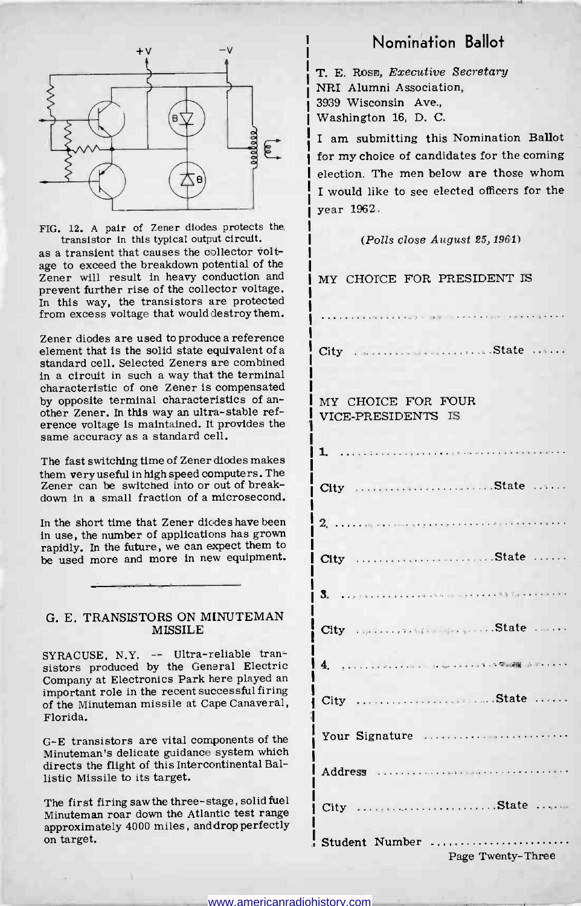

FIG. 12. A pair of Zener diodes protects the

as a transient that causes the collector voltage to exceed the breakdown potential of the Zener will result in heavy conduction and prevent further rise of the collector voltage. In this way, the transistors are protected from excess voltage that would destroy them.

Zener diodes are used to produce a reference<br>element that is the solid state equivalent of a element that is the solid state equivalent of a standard cell. Selected Zeners are combined in a circuit in such a way that the terminal characteristic of one Zener is compensated<br>by opposite terminal characteristics of another Zener. In this way an ultra-stable ref-<br>erence voltage is maintained. It provides the<br>same accuracy as a standard cell.

The fast switching time of Zener diodes makes  $\begin{bmatrix} 1. \end{bmatrix}$ them very useful in high speed computers. The Zener can be switched into or out of breakdown in a small fraction of a microsecond.

In the short time that Zener diodes have been in use, the number of applications has grown rapidly. In the future, we can expect them to be used more and more in new equipment. City

### G. E. TRANSISTORS ON MINUTEMAN MISSILE

SYRACUSE, N.Y. -- Ultra-reliable transistors produced by the General Electric<br>Company at Electronics Park here played an important role in the recent successful firing  $\frac{1}{\text{City}}$ of the Minuteman missile at Cape Canaveral, Florida.

<sup>G</sup>-E transistors are vital components of the Minuteman's delicate guidance system which directs the flight of this Intercontinental Ballistic Missile to its target.

The first firing saw the three -stage, solid fuel Minuteman roar down the Atlantic test range approximately 4000 miles, and drop perfectly on target.

## <sub>ty</sub> and the **Nomination Ballot**

T. E. ROSE, Executive Secretary NRI Alumni Association, 3939 Wisconsin Ave., Washington 16, D. C.

I am submitting this Nomination Ballot for my choice of candidates for the coming election. The men below are those whom I would like to see elected officers for the year 1962.

## (Polls close August 25, 1961)

MY CHOICE FOR PRESIDENT IS

**CONTRACTORS** CONTRACTORS Communication State MY CHOICE FOR FOUR VICE-PRESIDENTS IS 1. City State  $2$ . .........................State ...... , , , , , , , , , , , , , , , , , , 3. . . . . . . . 83 3., . . . . . . . .  $City$ ,  $\ldots, 7.85$  subsequently  $S$  . State  $\ldots$  $4.$ , ... City State Your Signature Address ..................................  $City$  ....,  $\ldots$   $State$  ... Student Number Page Twenty-Three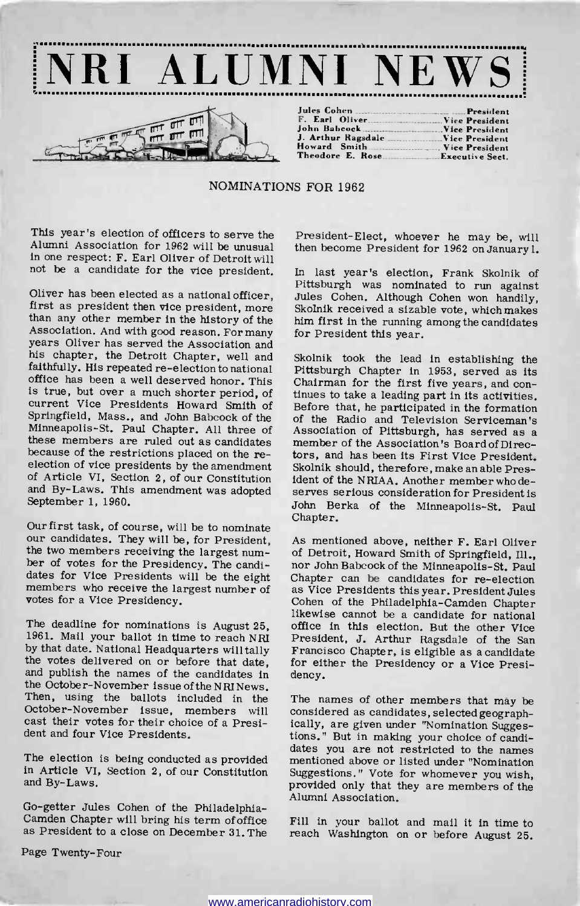

NOMINATIONS FOR 1962

This year's election of officers to serve the Alumni Association for 1962 will be unusual in one respect: F. Earl Oliver of Detroit will not be a candidate for the vice president.

Association. And with good reason. For many years Oliver has served the Association and his chapter, the Detroit Chapter, well and faithfully. His repeated re-election to national office has been a well deserved honor. This Chairman for the first five years, and con-<br>is true, but over a much shorter period, of tinues to take a leading part in its activities. is true, but over a much shorter period, of current Vice Presidents Howard Smith of Springfield, Mass., and John Babcock of the Minneapolis-St. Paul Chapter. All three of<br>these members are ruled out as candidates member of the Association's Board of Directhese members are ruled out as candidates because of the restrictions placed on the reelection of vice presidents by the amendment of Article VI, Section 2, of our Constitution and By -Laws. This amendment was adopted September 1, 1960.

Our first task, of course, will be to nominate our candidates. They will be, for President, the two members receiving the largest number of votes for the Presidency. The candidates for Vice Presidents will be the eight ber of votes for the Presidency. The candi-<br>dates for Vice Presidents will be the eight Chapter can be candidates for re-election<br>members who receive the largest number of as Vice Presidents this year. President Jules votes for a Vice Presidency.

The deadline for nominations is August 25, 1961. Mail your ballot in time to reach NRI by that date. National Headquarters will tally the votes delivered on or before that date, and publish the names of the candidates in the October -November issue of the NRINews. Then, using the ballots included in the October-November issue, members will considered as candidates, selected geographcast their votes for their choice of a President and four Vice Presidents.

and By-Laws.

Go-getter Jules Cohen of the Philadelphia-<br>Camden Chapter will bring his term of office Fill in your ballot and mail it in time to<br>as President to a close on December 31. The reach Washington on or before August 25

President-Elect, whoever he may be, will then become President for 1962 on January 1.

Oliver has been elected as a national officer, Jules Cohen. Although Cohen won handily, first as president then vice president, more Skolnik received a sizable vote, which makes than any other member in the history of the In last year's election, Frank Skolnik of Pittsburgh was nominated to run against him first in the running among the candidates for President this year.

> Skolnik took the lead in establishing the Pittsburgh Chapter in 1953, served as its Chairman for the first five years, and con-Before that, he participated in the formation of the Radio and Television Serviceman's Association of Pittsburgh, has served as a tors, and has been its First Vice President. Skolnik should, therefore, make an able President of the NRIAA. Another member who de- serves serious consideration for President is John Berka of the Minneapolis-St. Paul Chapter.

> As mentioned above, neither F. Earl Oliver of Detroit, Howard Smith of Springfield, Ill., as Vice Presidents this year. President Jules<br>Cohen of the Philadelphia-Camden Chapter likewise cannot be a candidate for national office in this election. But the other Vice President, J. Arthur Ragsdale of the San Francisco Chapter, is eligible as a candidate for either the Presidency or a Vice Presidency.

The election is being conducted as provided mentioned above or listed under "Nomination in Article VI, Section 2, of our Constitution Suggestions." Vote for whomever you wish. The names of other members that may be ically, are given under "Nomination Sugges-<br>tions." But in making your choice of candidates you are not restricted to the names provided only that they are members of the Alumni Association.

reach Washington on or before August 25.

Page Twenty-Four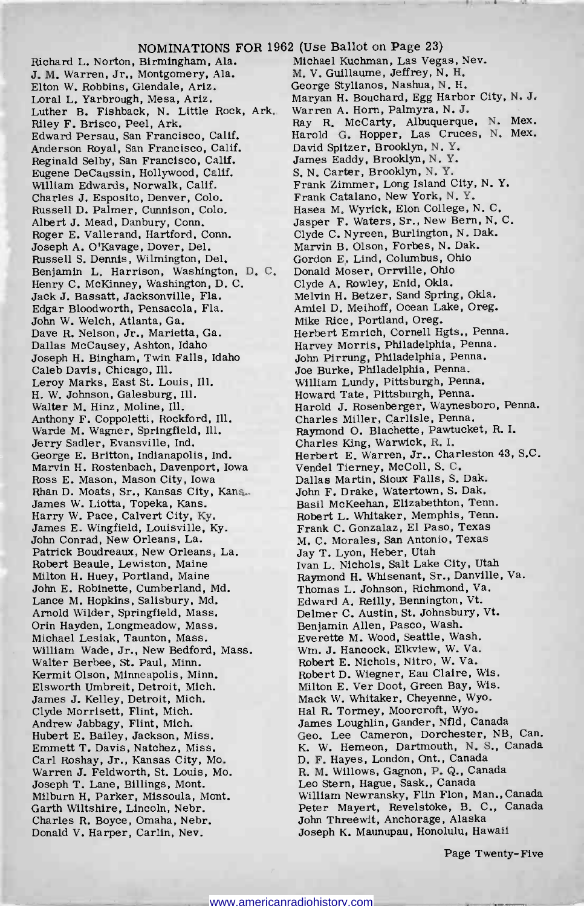## NOMINATIONS FOR 1962 (Use Ballot on Page 23)

Richard L. Norton, Birmingham, Ala.<br>J. M. Warren, Jr., Montgomery, Ala. Elton W. Robbins, Glendale, Ariz. Loral L. Yarbrough, Mesa, Ariz. Luther B. Fishback, N. Little Rock, Ark. Riley F. Brisco, Peel, Ark. Edward Persau, San Francisco, Calif. Anderson Royal, San Francisco, Calif. Reginald Selby, San Francisco, Calif. Eugene DeCaussin, Hollywood, Calif. William Edwards, Norwalk, Calif. Charles J. Esposito, Denver, Colo. Russell D. Palmer, Cunnison, Colo.<br>Albert J. Mead, Danbury, Conn. Roger E. Vallerand, Hartford, Conn. Joseph A. O'Kavage, Dover, Del. Russell S. Dennis, Wilmington, Del. Benjamin L. Harrison, Washington, D. C. Henry C. McKinney, Washington, D. C. Jack J. Bassatt, Jacksonville, Fla. Edgar Bloodworth, Pensacola, Fla. John W. Welch, Atlanta, Ga. Dave R. Nelson, Jr., Marietta, Ga. Dallas McCausey, Ashton, Idaho Joseph H. Bingham, Twin Falls, Idaho Caleb Davis, Chicago, Ill. Leroy Marks, East St. Louis, Ill. H. W. Johnson, Galesburg, Ill. Walter M. Hinz, Moline, Ill. Anthony F. Coppoletti, Rockford, Ill. Warde M. Wagner, Springfield, Ill. Jerry Sadler, Evansville, Ind. George E. Britton, Indianapolis, Ind. Marvin H. Rostenbach, Davenport, Iowa Ross E. Mason, Mason City, Iowa Rhan D. Moats, Sr., Kansas City, Kans. James W. Liotta, Topeka, Kans. Harry W. Pace, Calvert City, Ky. James E. Wingfield, Louisville, Ky. John Conrad, New Orleans, La. Patrick Boudreaux, New Orleans, La. Robert Beaule, Lewiston, Maine Milton H. Huey, Portland, Maine John E. Robinette, Cumberland, Md. Lance M. Hopkins, Salisbury, Md. Arnold Wilder, Springfield, Mass. Orin Hayden, Longmeadow, Mass. Michael Lesiak, Taunton, Mass. William Wade, Jr., New Bedford, Mass. Walter Berbee, St. Paul, Minn. Kermit Olson, Minneapolis, Minn. Elsworth Umbreit, Detroit, Mich. James J. Kelley, Detroit, Mich. Clyde Morrisett, Flint, Mich. Andrew Jabbagy, Flint, Mich. Hubert E. Bailey, Jackson, Miss. Emmett T. Davis, Natchez, Miss. Carl Roshay, Jr., Kansas City, Mo. Warren J. Feldworth, St. Louis, Mo. Joseph T. Lane, Billings, Mont. Milburn H. Parker, Missoula, Mont. Garth Wiltshire, Lincoln, Nebr. Charles R. Boyce, Omaha, Nebr. Donald V. Harper, Carlin, Nev.

M. V. Guillaume, Jeffrey, N. H. George Stylianos, Nashua, N. H. Maryan H. Bouchard, Egg Harbor City, N. J. Warren A. Horn, Palmyra, N. J. Ray R. McCarty, Albuquerque, N. Mex. Harold G. Hopper, Las Cruces, N. Mex. David Spitzer, Brooklyn, N. Y. James Eaddy, Brooklyn, N. Y. S. N. Carter, Brooklyn, N. Y. Frank Zimmer, Long Island City, N. Y. Frank Catalano, New York, N. Y. Hasea M. Wyrick, Elon College, N. C. Jasper F. Waters, Sr., New Bern, N. C. Clyde C. Nyreen, Burlington, N. Dak. Marvin B. Olson, Forbes, N. Dak. Gordon E. Lind, Columbus, Ohio Donald Moser, Orrville, Ohio Clyde A. Rowley, Enid, Okla. Melvin H. Betzer, Sand Spring, Okla. Amiel D. Meihoff, Ocean Lake, Oreg. Mike Rice, Portland, Oreg. Herbert Emrich, Cornell Hgts., Penna. Harvey Morris, Philadelphia, Penna. John Pirrung, Philadelphia, Penna. Joe Burke, Philadelphia, Penna. William Lundy, Pittsburgh, Penna. Howard Tate, Pittsburgh, Penna. Harold J. Rosenberger, Waynesboro, Penna. Charles Miller, Carlisle, Penna. Raymond O. Blachette, Pawtucket, R. I. Charles King, Warwick, R. I. Herbert E. Warren, Jr., Charleston 43, S.C. Vendel Tierney, McColl, S. C. Dallas Martin, Sioux Falls, S. Dak. John F. Drake, Watertown, S. Dak. Basil McKeehan, Elizabethton, Tenn. Robert L. Whitaker, Memphis, Tenn. Frank C. Gonzalaz, El Paso, Texas M. C. Morales, San Antonio, Texas Jay T. Lyon, Heber, Utah Ivan L. Nichols, Salt Lake City, Utah Raymond H. Whisenant, Sr., Danville, Va. Thomas L. Johnson, Richmond, Va. Edward A. Reilly, Bennington, Vt. Delmer C. Austin, St. Johnsbury, Vt. Benjamin Allen, Pasco, Wash. Everette M. Wood, Seattle, Wash. Wm. J. Hancock, Elkview, W. Va. Robert E. Nichols, Nitro, W. Va. Robert D. Wiegner, Eau Claire, Wis. Milton E. Ver Doot, Green Bay, Wis. Mack W. Whitaker, Cheyenne, Wyo. Hal R. Tormey, Moorcroft, Wyo. James Loughlin, Gander, Nfld, Canada Geo. Lee Cameron, Dorchester, NB, Can. K. W. Hemeon, Dartmouth, N. S., Canada D. F. Hayes, London, Ont., Canada R. M. Willows, Gagnon, P. Q., Canada Leo Stern, Hague, Sask., Canada William Newransky, Flin Flon, Man., Canada Peter Mayert, Revelstoke, B. C., Canada John Threewit, Anchorage, Alaska Joseph K. Maunupau, Honolulu, Hawaii

Page Twenty-Five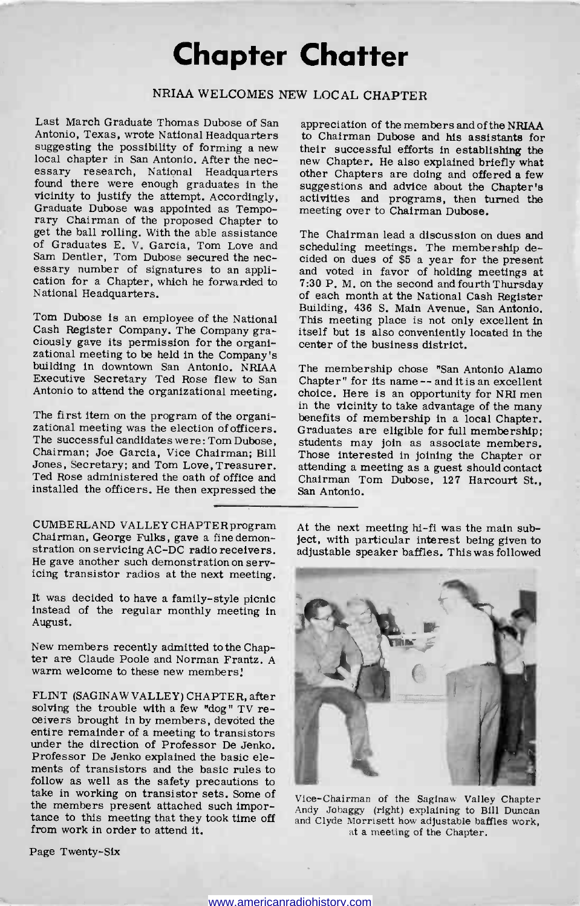## Chapter Chatter

## NRIAA WELCOMES NEW LOCAL CHAPTER

Last March Graduate Thomas Dubose of San suggesting the possibility of forming a new their successful efforts in establishing the local chapter in San Antonio. After the nec-<br>new Chapter. He also explained briefly what<br>essary research, National Headquarters found Graduate Dubose was appointed as Temporary Chairman of the proposed Chapter to get the ball rolling. With the able assistance of Graduates E. V. Garcia, Tom Love and Sam Dentier, Tom Dubose secured the nec- essary number of signatures to an appli- cation for a Chapter, which he forwarded to National Headquarters.

Tom Dubose is an employee of the National Cash Register Company. The Company graciously gave its permission for the organi-<br>zational meeting to be held in the Company's<br>building in downtown San Antonio. NRIAA Antonio to attend the organizational meeting.

The successful candidates were: Tom Dubose, students may join as associate members. Chairman; Joe Garcia, Vice Chairman; Bill Jones, Secretary; and Tom Love, Treasurer. Ted Rose administered the oath of office and installed the officers. He then expressed the

CUMBERLAND VALLEY CHAPTER program Chairman, George Fulks, gave a fine demonstration on servicing AC -DC radio receivers. He gave another such demonstration on servicing transistor radios at the next meeting.

It was decided to have a family -style picnic instead of the regular monthly meeting in August.

New members recently admitted to the Chap-<br>ter are Claude Poole and Norman Frantz. A<br>warm welcome to these new members!

FLINT (SAGINAW VALLEY) CHAPTER, after solving the trouble with a few "dog" TV receivers brought in by members, devoted the entire remainder of a meeting to transistors under the direction of Professor De Jenko. Professor De Jenko explained the basic elements of transistors and the basic rules to follow as well as the safety precautions to take in working on transistor sets. Some of the members present attached such importance to this meeting that they took time off from work in order to attend it.

appreciation of the members and of the NRIAA to Chairman Dubose and his assistants for new Chapter. He also explained briefly what other Chapters are doing and offered a few activities and programs, then turned the meeting over to Chairman Dubose.

The Chairman lead a discussion on dues and scheduling meetings. The membership decided on dues of \$5 a year for the present and voted in favor of holding meetings at 7:30 P. M. on the second and fourth Thursday<br>of each month at the National Cash Register Building, 436 S. Main Avenue, San Antonio. This meeting place is not only excellent in itself but is also conveniently located in the center of the business district.

Executive Secretary Ted Rose flew to San Chapter" for its name -- and it is an excellent Antonio to attend the organizational meeting. choice. Here is an opportunity for NRI men The first item on the program of the organi-<br>zational meeting was the election of officers. Graduates are eligible for full membership; The membership chose "San Antonio Alamo Chapter" for its name -- and it is an excellent in the vicinity to take advantage of the many benefits of memberships of memberships in a local Chapter. Graduate  $\frac{1}{2}$ Those interested in joining the Chapter or attending a meeting as a guest should contact Chairman Tom Dubose, 127 Harcourt St., San Antonio.

> At the next meeting hi-fi was the main subject, with particular interest being given to adjustable speaker baffles. This was followed



Vice -Chairman of the Saginaw Valley Chapter Andy Jobaggy (right) explaining to Bill Duncan and Clyde Morrisett how adjustable baffles work, at a meeting of the Chapter.

Page Twenty-Six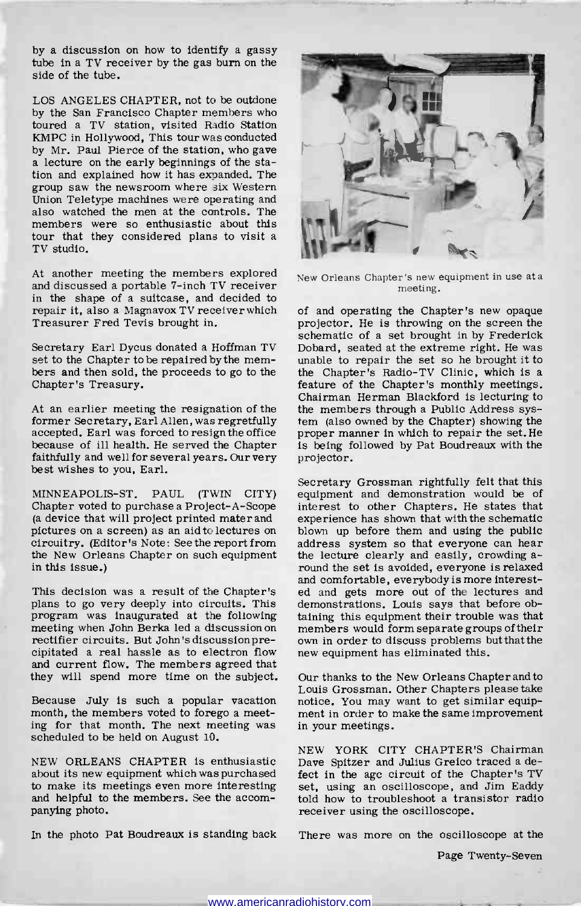by a discussion on how to identify a gassy tube in a TV receiver by the gas burn on the side of the tube.

LOS ANGELES CHAPTER, not to be outdone by the San Francisco Chapter members who toured a TV station, visited Radio Station KMPC in Hollywood, This tour was conducted by Mr. Paul Pierce of the station, who gave a lecture on the early beginnings of the station and explained how it has expanded. The group saw the newsroom where six Western Union Teletype machines were operating and also watched the men at the controls. The members were so enthusiastic about this tour that they considered plans to visit a TV studio.

At another meeting the members explored and discussed a portable 7 -inch TV receiver in the shape of a suitcase, and decided to repair it, also a Magnavox TV receiver which Treasurer Fred Tevis brought in.

bers and then sold, the proceeds to go to the the Chapter's Radio-TV Clinic, which is a chapter's Treasury.  $\qquad \qquad$  feature of the Chapter's monthly meetings. Chapter's Treasury.

At an earlier meeting the resignation of the former Secretary, Earl Allen, was regretfully accepted. Earl was forced to resign the office because of ill health. He served the Chapter faithfully and well for several years. Our very best wishes to you, Earl.

MINNEAPOLIS-ST. PAUL (TWIN CITY) Chapter voted to purchase a Project -A -Scope (a device that will project printed mater and circuitry. (Editor's Note: See the report from the New Orleans Chapter on such equipment in this issue.)

This decision was a result of the Chapter's plans to go very deeply into circuits. This program was inaugurated at the following meeting when John Berka led a discussion on rectifier circuits. But John's discussion precipitated a real hassle as to electron flow new equipment has eliminated this. and current flow. The members agreed that they will spend more time on the subject.

Because July is such a popular vacation month, the members voted to forego a meeting for that month. The next meeting was scheduled to be held on August 10.

NEW ORLEANS CHAPTER is enthusiastic about its new equipment which was purchased to make its meetings even more interesting and helpful to the members. See the accom- panying photo.

In the photo Pat Boudreaux is standing back



New Orleans Chapter's new equipment in use ata meeting.

Secretary Earl Dycus donated a Hoffman TV Dobard, seated at the extreme right. He was set to the Chapter to be repaired by the mem- unable to repair the set so he brought it to of and operating the Chapter's new opaque projector. He is throwing on the screen the schematic of a set brought in by Frederick Dobard, seated at the extreme right. He was the Chapter's Radio-TV Clinic, which is a Chairman Herman Blackford is lecturing to the members through a Public Address system (also owned by the Chapter) showing the proper manner in which to repair the set. He is being followed by Pat Boudreaux with the projector.

> Secretary Grossman rightfully felt that this equipment and demonstration would be of interest to other Chapters. He states that experience has shown that with the schematic blown up before them and using the public address system so that everyone can hear the lecture clearly and easily, crowding around the set is avoided, everyone is relaxed and comfortable, everybody is more interested and gets more out of the lectures and demonstrations. Louis says that before obtaining this equipment their trouble was that members would form separate groups of their own in order to discuss problems but that the

> Our thanks to the New Orleans Chapter and to Louis Grossman. Other Chapters please take notice. You may want to get similar equipment in order to make the same improvement in your meetings.

> NEW YORK CITY CHAPTER'S Chairman Dave Spitzer and Julius Greico traced a defect in the age circuit of the Chapter's TV set, using an oscilloscope, and Jim Eaddy told how to troubleshoot a transistor radio receiver using the oscilloscope.

There was more on the oscilloscope at the

Page Twenty-Seven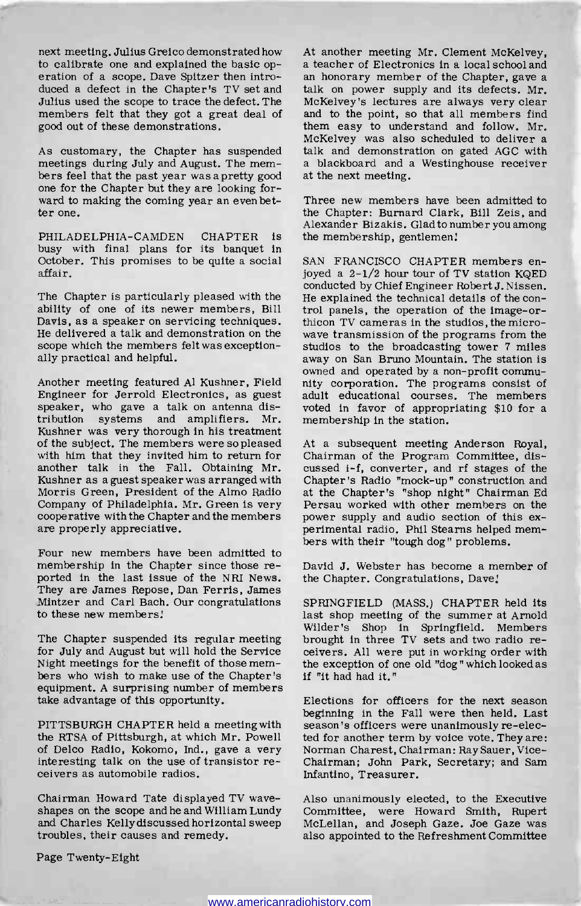next meeting. Julius Greico demonstrated how At another meeting Mr. Clement McKelvey, to calibrate one and explained the basic op- a teacher of Electronics in a local school and to calibrate one and explained the basic operation of a scope. Dave Spitzer then introduced a defect in the Chapter's TV set and talk on power supply and its defects. Mr. Julius used the scope to trace the defect. The members felt that they got a great deal of good out of these demonstrations.

As customary, the Chapter has suspended meetings during July and August. The members feel that the past year was a pretty good one for the Chapter but they are looking forward to making the coming year an even bet-<br>ter one.

PHILADELPHIA-CAMDEN CHAPTER is busy with final plans for its banquet in<br>October. This promises to be quite a social SAN FRANCISCO CHAPTER members en-October. This promises to be quite a social affair.

ability of one of its newer members, Bill trol panels, the operation of the image-or-<br>Davis, as a speaker on servicing techniques. this the TV cameras in the studios, the micro-Davis, as a speaker on servicing techniques. He delivered a talk and demonstration on the scope which the members felt was exceptionally practical and helpful.

Another meeting featured Al Kushner, Field Engineer for Jerrold Electronics, as guest speaker, who gave a talk on antenna distribution systems and amplifiers. Mr. membership in the station. Kushner was very thorough in his treatment of the subject. The members were so pleased with him that they invited him to return for another talk in the Fall. Obtaining Mr. Kushner as a guest speaker was arranged with Morris Green, President of the Almo Radio Company of Philadelphia. Mr. Green is very Persau worked with other members on the cooperative with the Chapter and the members power supply and audio section of this excooperative with the Chapter and the members are properly appreciative.

bers with their "tough dog" problems.<br>Four new members have been admitted to membership in the Chapter since those reported in the last issue of the NRI News. They are James Repose, Dan Ferris, James Mintzer and Carl Bach. Our congratulations to these new members:

The Chapter suspended its regular meeting for July and August but will hold the Service<br>Night meetings for the benefit of those memhers who wish to make use of the Chapter's if "it had had it." equipment. A surprising number of members take advantage of this opportunity.

PITTSBURGH CHAPTER held a meeting with the RTSA of Pittsburgh, at which Mr. Powell of Delco Radio, Kokomo, Ind., gave a very Norman Charest, Chairman: Ray Sauer, Vice-<br>interesting talk on the use of transistor re- Chairman; John Park, Secretary; and Sam interesting talk on the use of transistor receivers as automobile radios.

Chairman Howard Tate displayed TV wave - shapes on the scope and he and William Lundy and Charles Kelly discussed horizontal sweep McLellan, and Joseph Gaze. Joe Gaze was troubles, their causes and remedy.

At another meeting Mr. Clement McKelvey, a teacher of Electronics in a local school and an honorary member of the Chapter, gave a McKelvey's lectures are always very clear and to the point, so that all members find them easy to understand and follow. Mr. McKelvey was also scheduled to deliver a talk and demonstration on gated AGC with a blackboard and a Westinghouse receiver at the next meeting.

Three new members have been admitted to the Chapter: Burnard Clark, Bill Zeis, and Alexander Bizakis. Glad to number you among the membership, gentlemen:

The Chapter is particularly pleased with the He explained the technical details of the conjoyed a  $2-1/2$  hour tour of TV station KQED conducted by Chief Engineer Robert J. Nissen. trol panels, the operation of the image-orwave transmission of the programs from the studios to the broadcasting tower 7 miles away on San Bruno Mountain. The station is<br>owned and operated by a non-profit community corporation. The programs consist of adult educational courses. The members voted in favor of appropriating \$10 for a

> At a subsequent meeting Anderson Royal, Chairman of the Program Committee, discussed i-f, converter, and rf stages of the Chapter's Radio "mock-up" construction and at the Chapter's "shop night" Chairman Ed Persau worked with other members on the perimental radio. Phil Stearns helped mem-

> David J. Webster has become a member of the Chapter. Congratulations, Dave;

> SPRINGFIELD (MASS.) CHAPTER held its last shop meeting of the summer at Arnold Wilder's Shop in Springfield. Members brought in three TV sets and two radio receivers. All were put in working order with the exception of one old "dog" which looked as

> Elections for officers for the next season beginning in the Fall were then held. Last season's officers were unanimously re-elected for another term by voice vote. They are: Norman Charest, Chairman: Ray Sauer, Vice-Infantino, Treasurer.

> Also unanimously elected, to the Executive Committee, were Howard Smith, Rupert also appointed to the Refreshment Committee

Page Twenty-Eight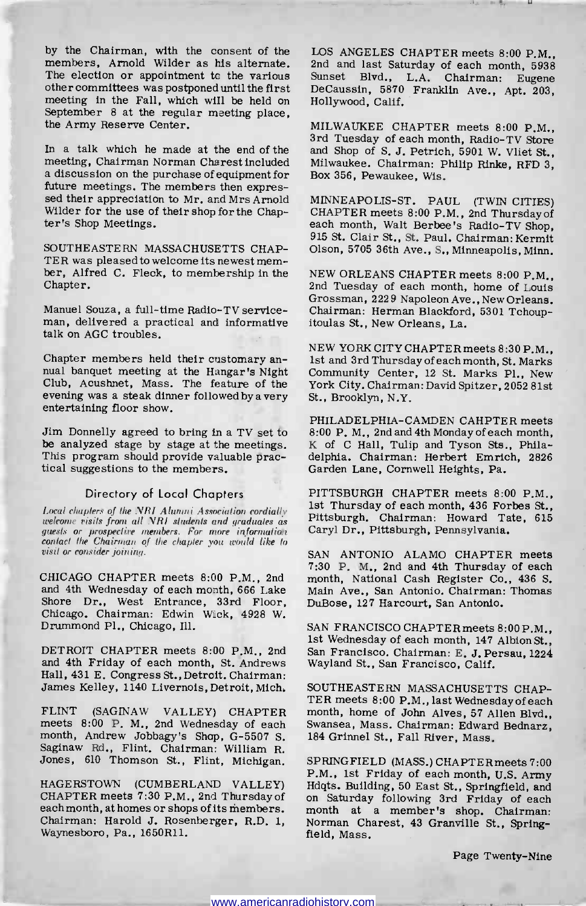by the Chairman, with the consent of the members, Arnold Wilder as his alternate. The election or appointment to the various Sunset Blvd., L.A. Chairman: Eugene other committees was postponed until the first DeCaussin, 5870 Franklin Ave., Apt. 203. other committees was postponed until the first meeting in the Fall, which will be held on Hollywood, Calif.<br>September 8 at the regular meeting place,<br>the Army Reserve Center. MILWAUKEE CHAPTER meets 8:00 P.M.. the Army Reserve Center.

In a talk which he made at the end of the meeting, Chairman Norman Charest included a discussion on the purchase of equipment for sed their appreciation to Mr. and Mrs Arnold MINNEAPOLIS-ST. PAUL (TWIN CITIES) Wilder for the use of their shop for the Chap-<br>ter's Shop Meetings.

SOUTHEASTERN MASSACHUSETTS CHAP-<br>TER was pleased to welcome its newest member, Alfred C. Fleck, to membership in the Chapter.

Manuel Souza, a full-time Radio-TV serviceman, delivered a practical and informative itoulas St., New Orleans, La. talk on AGC troubles.

Chapter members held their customary an- nual banquet meeting at the Hangar's Night Club, Acushnet, Mass. The feature of the evening was a steak dinner followed by a very entertaining floor show.

Jim Donnelly agreed to bring in a TV set to be analyzed stage by stage at the meetings. This program should provide valuable prac- tical suggestions to the members.

## Directory of Local Chapters

Local chapters of the NRI Alumni Association cordially<br>welcome visits from all NRI students and graduates as guests or prospective members. For more information contact the Chairman of the chapter you would like to visit or consider joining.

CHICAGO CHAPTER meets 8:00 P.M., 2nd and 4th Wednesday of each month, 666 Lake Shore Dr., West Entrance, 33rd Floor, Chicago. Chairman: Edwin Wick, 4928 W. Drummond Pl., Chicago, Ill.

DETROIT CHAPTER meets 8:00 P.M., 2nd and 4th Friday of each month, St. Andrews Hall, 431 E. Congress St., Detroit. Chairman: James Kelley, 1140 Livernois, Detroit, Mich.

FLINT (SAGINAW VALLEY) CHAPTER month, home of John Alves, 57 Allen Blvd., meets 8:00 P. M., 2nd Wednesday of each Swansea, Mass. Chairman: Edward Bednarz, meets 8:00 P. M., 2nd Wednesday of each month, Andrew Jobbagy's Shop, G-5507 S. Saginaw Rd., Flint. Chairman: William R. Jones, 610 Thomson St., Flint, Michigan.

CHAPTER meets 7:30 P.M., 2nd Thursdayof each month, at homes or shops of its members. Chairman: Harold J. Rosenberger, R.D. 1, Norman Chairman: Waynesboro, Pa., 1650R11. field, Mass. Waynesboro, Pa., 1650R11.

LOS ANGELES CHAPTER meets 8:00 P.M., 2nd and last Saturday of each month, 5938 Sunset Blvd., L.A. Chairman: Eugene Hollywood, Calif.

MILWAUKEE CHAPTER meets 8:00 P.M., 3rd Tuesday of each month, Radio-TV Store and Shop of S. J. Petrich, 5901 W. Vliet St., Milwaukee. Chairman: Philip Rinke, RFD 3, Box 356, Pewaukee, Wis.

CHAPTER meets 8:00 P.M., 2nd Thursday of each month, Walt Berbee's Radio-TV Shop. 915 St. Clair St., St. Paul. Chairman: Kermit Olson, 5705 36th Ave., S., Minneapolis, Minn.

NEW ORLEANS CHAPTER meets 8:00 P.M., 2nd Tuesday of each month, home of Louis Grossman, 2229 Napoleon Ave., New Orleans. Chairman: Herman Blackford, 5301 Tchoup-

NEW YORK CITY CHAPTER meets 8:30 P.M., 1st and 3rd Thursday of each month, St. Marks Community Center, 12 St. Marks Pl., New York City. Chairman: David Spitzer, 2052 81st St., Brooklyn, N.Y.

PHILADELPHIA -CAMDEN CAHPTER meets 8:00 P. M., 2nd and 4th Monday of each month, K of C Hall, Tulip and Tyson Sts., Philadelphia. Chairman: Herbert Emrich, 2826 Garden Lane, Cornwell Heights, Pa.

PITTSBURGH CHAPTER meets 8:00 P.M., 1st Thursday of each month, 436 Forbes St., Pittsburgh. Chairman: Howard Tate, 615 Caryl Dr., Pittsburgh, Pennsylvania.

SAN ANTONIO ALAMO CHAPTER meets 7:30 P. M., 2nd and 4th Thursday of each month, National Cash Register Co., 436 S. Main Ave., San Antonio. Chairman: Thomas DuBose, 127 Harcourt, San Antonio.

SAN FRANCISCO CHAPTER meets 8:00 P.M., 1st Wednesday of each month, 147 Albion St., San Francisco. Chairman: E. J. Persau, 1224 Wayland St., San Francisco, Calif.

SOUTHEASTERN MASSACHUSETTS CHAP-TER meets 8:00 P.M., last Wednesday of each month, home of John Alves, 57 Allen Blvd., 184 Grinnel St., Fall River, Mass.

P.M., 1st Friday of each month, U.S. Army<br>HAGERSTOWN (CUMBERLAND VALLEY) Hdqts. Building, 50 East St., Springfield, and SPRINGFIELD (MASS.) CHAPTERmeets 7:00 on Saturday following 3rd Friday of each month at a member's shop. Chairman: Norman Charest, 43 Granville St., Spring-

Page Twenty-Nine